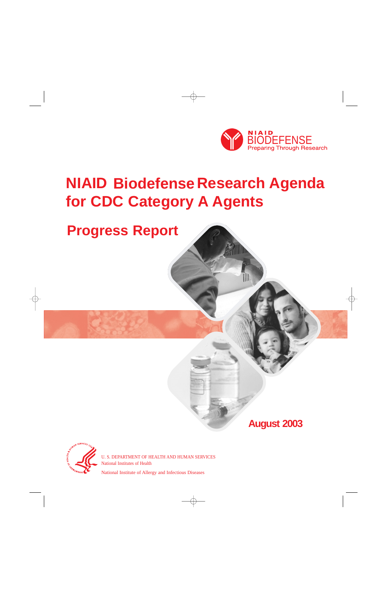

# **NIAID Biodefense Research Agenda for CDC Category A Agents**

## **Progress Report**

**August 2003** 



U. S. DEPARTMENT OF HEALTH AND HUMAN SERVICES National Institutes of Health

National Institute of Allergy and Infectious Diseases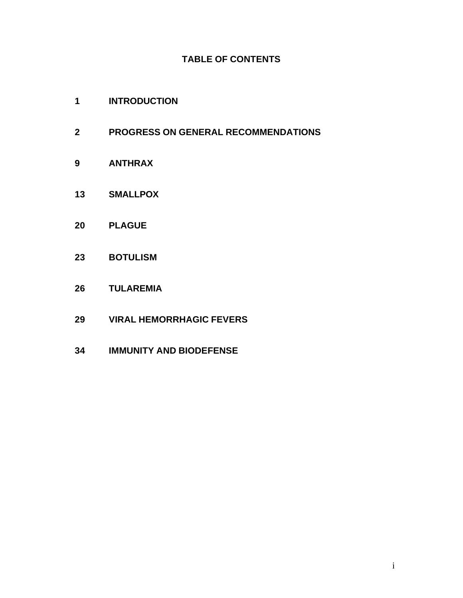## **TABLE OF CONTENTS**

- **[1 INTRODUCTION](#page-2-0)**
- **[2 PROGRESS ON GENERAL RECOMMENDATIONS](#page-3-0)**
- **[9 ANTHRAX](#page-10-0)**
- **[13 SMALLPOX](#page-14-0)**
- **[20 PLAGUE](#page-21-0)**
- **[23 BOTULISM](#page-24-0)**
- **[26 TULAREMIA](#page-27-0)**
- **[29 VIRAL HEMORRHAGIC FEVERS](#page-30-0)**
- **[34 IMMUNITY AND BIODEFENSE](#page-35-0)**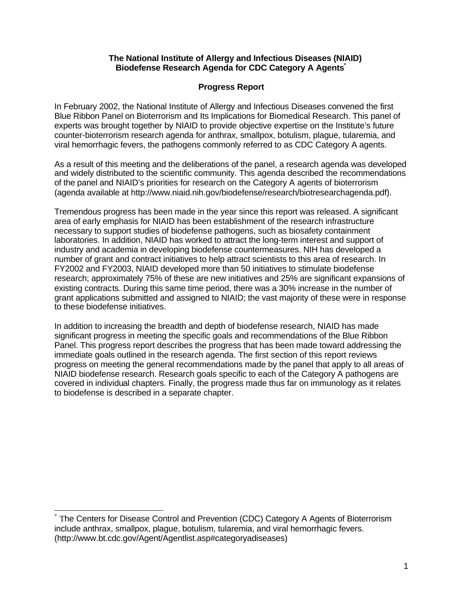#### **The National Institute of Allergy and Infectious Diseases (NIAID) Biodefense Research Agenda for CDC Category A Agents<sup>\*</sup>**

## **Progress Report**

<span id="page-2-0"></span>In February 2002, the National Institute of Allergy and Infectious Diseases convened the first Blue Ribbon Panel on Bioterrorism and Its Implications for Biomedical Research. This panel of experts was brought together by NIAID to provide objective expertise on the Institute's future counter-bioterrorism research agenda for anthrax, smallpox, botulism, plague, tularemia, and viral hemorrhagic fevers, the pathogens commonly referred to as CDC Category A agents.

As a result of this meeting and the deliberations of the panel, a research agenda was developed and widely distributed to the scientific community. This agenda described the recommendations of the panel and NIAID's priorities for research on the Category A agents of bioterrorism (agenda available at [http://www.niaid.nih.gov/biodefense/research/biotresearchagenda.pdf\).](http://www.niaid.nih.gov/biodefense/research/biotresearchagenda.pdf)

Tremendous progress has been made in the year since this report was released. A significant area of early emphasis for NIAID has been establishment of the research infrastructure necessary to support studies of biodefense pathogens, such as biosafety containment laboratories. In addition, NIAID has worked to attract the long-term interest and support of industry and academia in developing biodefense countermeasures. NIH has developed a number of grant and contract initiatives to help attract scientists to this area of research. In FY2002 and FY2003, NIAID developed more than 50 initiatives to stimulate biodefense research; approximately 75% of these are new initiatives and 25% are significant expansions of existing contracts. During this same time period, there was a 30% increase in the number of grant applications submitted and assigned to NIAID; the vast majority of these were in response to these biodefense initiatives.

In addition to increasing the breadth and depth of biodefense research, NIAID has made significant progress in meeting the specific goals and recommendations of the Blue Ribbon Panel. This progress report describes the progress that has been made toward addressing the immediate goals outlined in the research agenda. The first section of this report reviews progress on meeting the general recommendations made by the panel that apply to all areas of NIAID biodefense research. Research goals specific to each of the Category A pathogens are covered in individual chapters. Finally, the progress made thus far on immunology as it relates to biodefense is described in a separate chapter.

 $\overline{\phantom{a}}$ \* The Centers for Disease Control and Prevention (CDC) Category A Agents of Bioterrorism include anthrax, smallpox, plague, botulism, tularemia, and viral hemorrhagic fevers. (http://www.bt.cdc.gov/Agent/Agentlist.asp#categoryadiseases)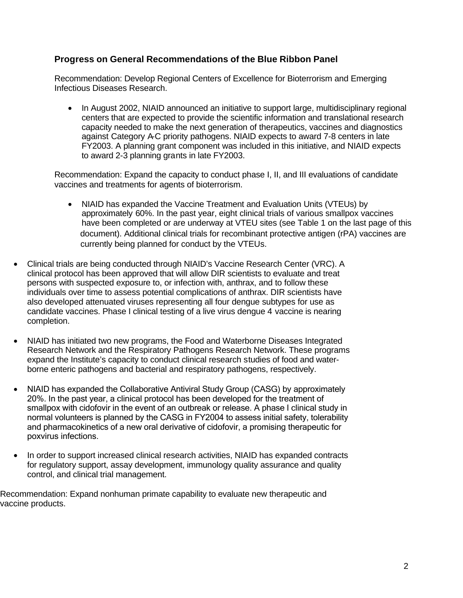## <span id="page-3-0"></span>**Progress on General Recommendations of the Blue Ribbon Panel**

Recommendation: Develop Regional Centers of Excellence for Bioterrorism and Emerging Infectious Diseases Research.

In August 2002, NIAID announced an initiative to support large, multidisciplinary regional centers that are expected to provide the scientific information and translational research capacity needed to make the next generation of therapeutics, vaccines and diagnostics against Category A-C priority pathogens. NIAID expects to award 7-8 centers in late FY2003. A planning grant component was included in this initiative, and NIAID expects to award 2-3 planning grants in late FY2003.

Recommendation: Expand the capacity to conduct phase I, II, and III evaluations of candidate vaccines and treatments for agents of bioterrorism.

- NIAID has expanded the Vaccine Treatment and Evaluation Units (VTEUs) by approximately 60%. In the past year, eight clinical trials of various smallpox vaccines have been completed or are underway at VTEU sites (see Table 1 on the last page of this document). Additional clinical trials for recombinant protective antigen (rPA) vaccines are currently being planned for conduct by the VTEUs.
- Clinical trials are being conducted through NIAID's Vaccine Research Center (VRC). A clinical protocol has been approved that will allow DIR scientists to evaluate and treat persons with suspected exposure to, or infection with, anthrax, and to follow these individuals over time to assess potential complications of anthrax. DIR scientists have also developed attenuated viruses representing all four dengue subtypes for use as candidate vaccines. Phase I clinical testing of a live virus dengue 4 vaccine is nearing completion.
- NIAID has initiated two new programs, the Food and Waterborne Diseases Integrated Research Network and the Respiratory Pathogens Research Network. These programs expand the Institute's capacity to conduct clinical research studies of food and waterborne enteric pathogens and bacterial and respiratory pathogens, respectively.
- NIAID has expanded the Collaborative Antiviral Study Group (CASG) by approximately 20%. In the past year, a clinical protocol has been developed for the treatment of smallpox with cidofovir in the event of an outbreak or release. A phase I clinical study in normal volunteers is planned by the CASG in FY2004 to assess initial safety, tolerability and pharmacokinetics of a new oral derivative of cidofovir, a promising therapeutic for poxvirus infections.
- In order to support increased clinical research activities, NIAID has expanded contracts for regulatory support, assay development, immunology quality assurance and quality control, and clinical trial management.

Recommendation: Expand nonhuman primate capability to evaluate new therapeutic and vaccine products.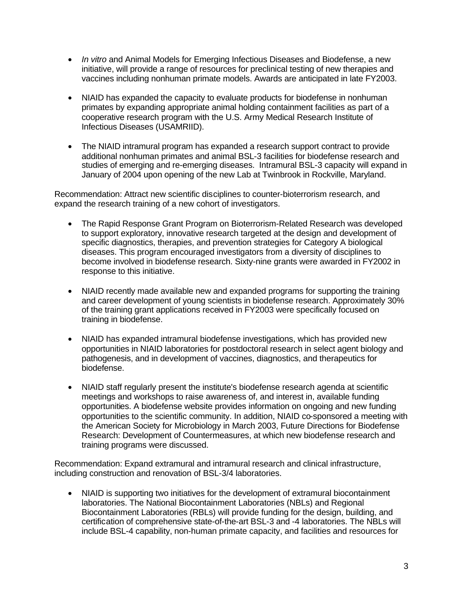- *In vitro* and Animal Models for Emerging Infectious Diseases and Biodefense, a new initiative, will provide a range of resources for preclinical testing of new therapies and vaccines including nonhuman primate models. Awards are anticipated in late FY2003.
- NIAID has expanded the capacity to evaluate products for biodefense in nonhuman primates by expanding appropriate animal holding containment facilities as part of a cooperative research program with the U.S. Army Medical Research Institute of Infectious Diseases (USAMRIID).
- The NIAID intramural program has expanded a research support contract to provide additional nonhuman primates and animal BSL-3 facilities for biodefense research and studies of emerging and re-emerging diseases. Intramural BSL-3 capacity will expand in January of 2004 upon opening of the new Lab at Twinbrook in Rockville, Maryland.

Recommendation: Attract new scientific disciplines to counter-bioterrorism research, and expand the research training of a new cohort of investigators.

- The Rapid Response Grant Program on Bioterrorism-Related Research was developed to support exploratory, innovative research targeted at the design and development of specific diagnostics, therapies, and prevention strategies for Category A biological diseases. This program encouraged investigators from a diversity of disciplines to become involved in biodefense research. Sixty-nine grants were awarded in FY2002 in response to this initiative.
- NIAID recently made available new and expanded programs for supporting the training and career development of young scientists in biodefense research. Approximately 30% of the training grant applications received in FY2003 were specifically focused on training in biodefense.
- NIAID has expanded intramural biodefense investigations, which has provided new opportunities in NIAID laboratories for postdoctoral research in select agent biology and pathogenesis, and in development of vaccines, diagnostics, and therapeutics for biodefense.
- NIAID staff regularly present the institute's biodefense research agenda at scientific meetings and workshops to raise awareness of, and interest in, available funding opportunities. A biodefense website provides information on ongoing and new funding opportunities to the scientific community. In addition, NIAID co-sponsored a meeting with the American Society for Microbiology in March 2003, Future Directions for Biodefense Research: Development of Countermeasures, at which new biodefense research and training programs were discussed.

Recommendation: Expand extramural and intramural research and clinical infrastructure, including construction and renovation of BSL-3/4 laboratories.

NIAID is supporting two initiatives for the development of extramural biocontainment laboratories. The National Biocontainment Laboratories (NBLs) and Regional Biocontainment Laboratories (RBLs) will provide funding for the design, building, and certification of comprehensive state-of-the-art BSL-3 and -4 laboratories. The NBLs will include BSL-4 capability, non-human primate capacity, and facilities and resources for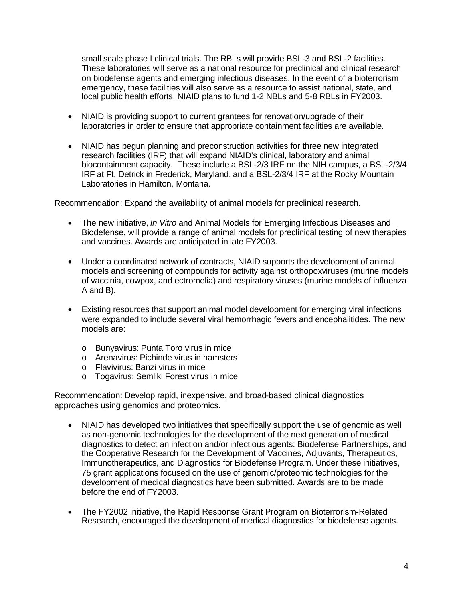small scale phase I clinical trials. The RBLs will provide BSL-3 and BSL-2 facilities. These laboratories will serve as a national resource for preclinical and clinical research on biodefense agents and emerging infectious diseases. In the event of a bioterrorism emergency, these facilities will also serve as a resource to assist national, state, and local public health efforts. NIAID plans to fund 1-2 NBLs and 5-8 RBLs in FY2003.

- NIAID is providing support to current grantees for renovation/upgrade of their laboratories in order to ensure that appropriate containment facilities are available.
- Laboratories in Hamilton, Montana. • NIAID has begun planning and preconstruction activities for three new integrated research facilities (IRF) that will expand NIAID's clinical, laboratory and animal biocontainment capacity. These include a BSL-2/3 IRF on the NIH campus, a BSL-2/3/4 IRF at Ft. Detrick in Frederick, Maryland, and a BSL-2/3/4 IRF at the Rocky Mountain

Recommendation: Expand the availability of animal models for preclinical research.

- The new initiative, *In Vitro* and Animal Models for Emerging Infectious Diseases and Biodefense, will provide a range of animal models for preclinical testing of new therapies and vaccines. Awards are anticipated in late FY2003.
- Under a coordinated network of contracts, NIAID supports the development of animal models and screening of compounds for activity against orthopoxviruses (murine models of vaccinia, cowpox, and ectromelia) and respiratory viruses (murine models of influenza A and B).
- Existing resources that support animal model development for emerging viral infections were expanded to include several viral hemorrhagic fevers and encephalitides. The new models are:
	- o Bunyavirus: Punta Toro virus in mice
	- o Arenavirus: Pichinde virus in hamsters
	- o Flavivirus: Banzi virus in mice
	- o Togavirus: Semliki Forest virus in mice

Recommendation: Develop rapid, inexpensive, and broad-based clinical diagnostics approaches using genomics and proteomics.

- NIAID has developed two initiatives that specifically support the use of genomic as well as non-genomic technologies for the development of the next generation of medical diagnostics to detect an infection and/or infectious agents: Biodefense Partnerships, and the Cooperative Research for the Development of Vaccines, Adjuvants, Therapeutics, Immunotherapeutics, and Diagnostics for Biodefense Program. Under these initiatives, 75 grant applications focused on the use of genomic/proteomic technologies for the development of medical diagnostics have been submitted. Awards are to be made before the end of FY2003.
- The FY2002 initiative, the Rapid Response Grant Program on Bioterrorism-Related Research, encouraged the development of medical diagnostics for biodefense agents.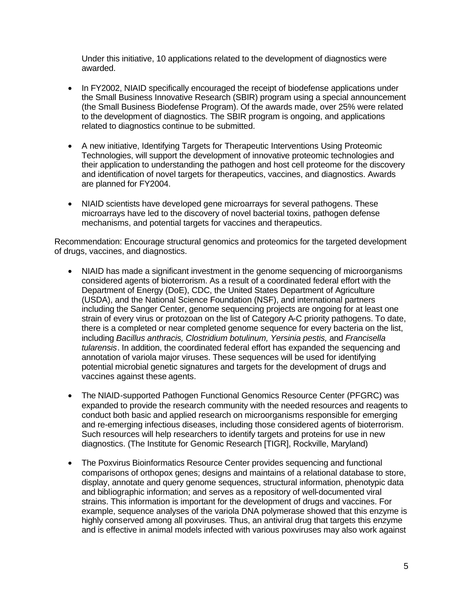Under this initiative, 10 applications related to the development of diagnostics were awarded.

- In FY2002, NIAID specifically encouraged the receipt of biodefense applications under the Small Business Innovative Research (SBIR) program using a special announcement (the Small Business Biodefense Program). Of the awards made, over 25% were related to the development of diagnostics. The SBIR program is ongoing, and applications related to diagnostics continue to be submitted.
- A new initiative, Identifying Targets for Therapeutic Interventions Using Proteomic Technologies, will support the development of innovative proteomic technologies and their application to understanding the pathogen and host cell proteome for the discovery and identification of novel targets for therapeutics, vaccines, and diagnostics. Awards are planned for FY2004.
- NIAID scientists have developed gene microarrays for several pathogens. These microarrays have led to the discovery of novel bacterial toxins, pathogen defense mechanisms, and potential targets for vaccines and therapeutics.

Recommendation: Encourage structural genomics and proteomics for the targeted development of drugs, vaccines, and diagnostics.

- NIAID has made a significant investment in the genome sequencing of microorganisms considered agents of bioterrorism. As a result of a coordinated federal effort with the Department of Energy (DoE), CDC, the United States Department of Agriculture (USDA), and the National Science Foundation (NSF), and international partners including the Sanger Center, genome sequencing projects are ongoing for at least one strain of every virus or protozoan on the list of Category A-C priority pathogens. To date, there is a completed or near completed genome sequence for every bacteria on the list, including *Bacillus anthracis, Clostridium botulinum, Yersinia pestis,* and *Francisella tularensis*. In addition, the coordinated federal effort has expanded the sequencing and annotation of variola major viruses. These sequences will be used for identifying potential microbial genetic signatures and targets for the development of drugs and vaccines against these agents.
- The NIAID-supported Pathogen Functional Genomics Resource Center (PFGRC) was expanded to provide the research community with the needed resources and reagents to conduct both basic and applied research on microorganisms responsible for emerging and re-emerging infectious diseases, including those considered agents of bioterrorism. Such resources will help researchers to identify targets and proteins for use in new diagnostics. (The Institute for Genomic Research [TIGR], Rockville, Maryland)
- The Poxvirus Bioinformatics Resource Center provides sequencing and functional comparisons of orthopox genes; designs and maintains of a relational database to store, display, annotate and query genome sequences, structural information, phenotypic data and bibliographic information; and serves as a repository of well-documented viral strains. This information is important for the development of drugs and vaccines. For example, sequence analyses of the variola DNA polymerase showed that this enzyme is highly conserved among all poxviruses. Thus, an antiviral drug that targets this enzyme and is effective in animal models infected with various poxviruses may also work against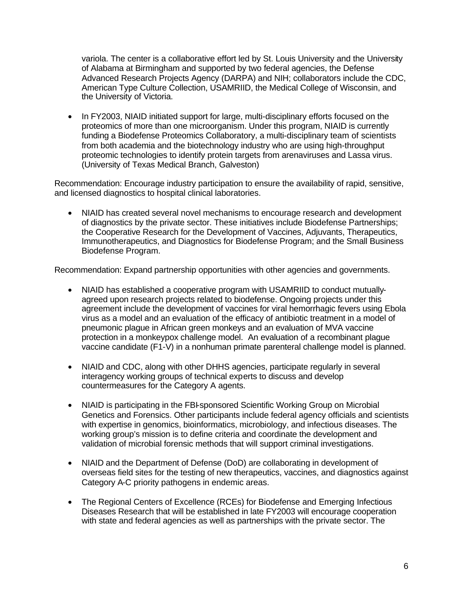variola. The center is a collaborative effort led by St. Louis University and the University of Alabama at Birmingham and supported by two federal agencies, the Defense Advanced Research Projects Agency (DARPA) and NIH; collaborators include the CDC, American Type Culture Collection, USAMRIID, the Medical College of Wisconsin, and the University of Victoria.

In FY2003, NIAID initiated support for large, multi-disciplinary efforts focused on the proteomics of more than one microorganism. Under this program, NIAID is currently funding a Biodefense Proteomics Collaboratory, a multi-disciplinary team of scientists from both academia and the biotechnology industry who are using high-throughput proteomic technologies to identify protein targets from arenaviruses and Lassa virus. (University of Texas Medical Branch, Galveston)

Recommendation: Encourage industry participation to ensure the availability of rapid, sensitive, and licensed diagnostics to hospital clinical laboratories.

• NIAID has created several novel mechanisms to encourage research and development of diagnostics by the private sector. These initiatives include Biodefense Partnerships; the Cooperative Research for the Development of Vaccines, Adjuvants, Therapeutics, Immunotherapeutics, and Diagnostics for Biodefense Program; and the Small Business Biodefense Program.

Recommendation: Expand partnership opportunities with other agencies and governments.

- NIAID has established a cooperative program with USAMRIID to conduct mutuallyagreed upon research projects related to biodefense. Ongoing projects under this agreement include the development of vaccines for viral hemorrhagic fevers using Ebola virus as a model and an evaluation of the efficacy of antibiotic treatment in a model of pneumonic plague in African green monkeys and an evaluation of MVA vaccine protection in a monkeypox challenge model. An evaluation of a recombinant plague vaccine candidate (F1-V) in a nonhuman primate parenteral challenge model is planned.
- NIAID and CDC, along with other DHHS agencies, participate regularly in several interagency working groups of technical experts to discuss and develop countermeasures for the Category A agents.
- NIAID is participating in the FBI-sponsored Scientific Working Group on Microbial Genetics and Forensics. Other participants include federal agency officials and scientists with expertise in genomics, bioinformatics, microbiology, and infectious diseases. The working group's mission is to define criteria and coordinate the development and validation of microbial forensic methods that will support criminal investigations.
- NIAID and the Department of Defense (DoD) are collaborating in development of overseas field sites for the testing of new therapeutics, vaccines, and diagnostics against Category A-C priority pathogens in endemic areas.
- The Regional Centers of Excellence (RCEs) for Biodefense and Emerging Infectious Diseases Research that will be established in late FY2003 will encourage cooperation with state and federal agencies as well as partnerships with the private sector. The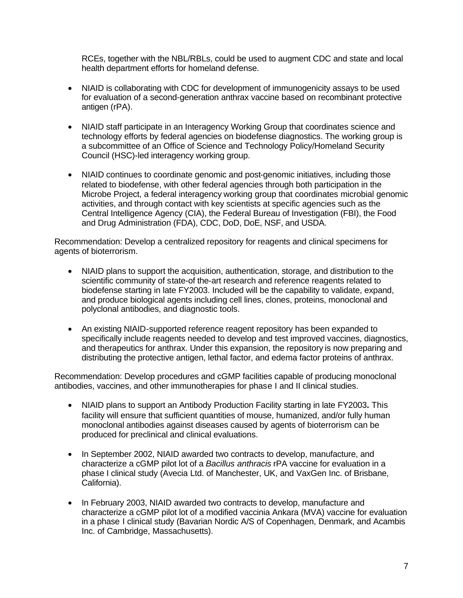RCEs, together with the NBL/RBLs, could be used to augment CDC and state and local health department efforts for homeland defense.

- NIAID is collaborating with CDC for development of immunogenicity assays to be used for evaluation of a second-generation anthrax vaccine based on recombinant protective antigen (rPA).
- NIAID staff participate in an Interagency Working Group that coordinates science and technology efforts by federal agencies on biodefense diagnostics. The working group is a subcommittee of an Office of Science and Technology Policy/Homeland Security Council (HSC)-led interagency working group.
- NIAID continues to coordinate genomic and post-genomic initiatives, including those related to biodefense, with other federal agencies through both participation in the Microbe Project, a federal interagency working group that coordinates microbial genomic activities, and through contact with key scientists at specific agencies such as the Central Intelligence Agency (CIA), the Federal Bureau of Investigation (FBI), the Food and Drug Administration (FDA), CDC, DoD, DoE, NSF, and USDA.

Recommendation: Develop a centralized repository for reagents and clinical specimens for agents of bioterrorism.

- NIAID plans to support the acquisition, authentication, storage, and distribution to the scientific community of state-of the-art research and reference reagents related to biodefense starting in late FY2003. Included will be the capability to validate, expand, and produce biological agents including cell lines, clones, proteins, monoclonal and polyclonal antibodies, and diagnostic tools.
- An existing NIAID-supported reference reagent repository has been expanded to specifically include reagents needed to develop and test improved vaccines, diagnostics, and therapeutics for anthrax. Under this expansion, the repository is now preparing and distributing the protective antigen, lethal factor, and edema factor proteins of anthrax.

Recommendation: Develop procedures and cGMP facilities capable of producing monoclonal antibodies, vaccines, and other immunotherapies for phase I and II clinical studies.

- • NIAID plans to support an Antibody Production Facility starting in late FY2003**.** This facility will ensure that sufficient quantities of mouse, humanized, and/or fully human monoclonal antibodies against diseases caused by agents of bioterrorism can be produced for preclinical and clinical evaluations.
- In September 2002, NIAID awarded two contracts to develop, manufacture, and characterize a cGMP pilot lot of a *Bacillus anthracis* rPA vaccine for evaluation in a phase I clinical study (Avecia Ltd. of Manchester, UK, and VaxGen Inc. of Brisbane, California).
- In February 2003, NIAID awarded two contracts to develop, manufacture and characterize a cGMP pilot lot of a modified vaccinia Ankara (MVA) vaccine for evaluation in a phase I clinical study (Bavarian Nordic A/S of Copenhagen, Denmark, and Acambis Inc. of Cambridge, Massachusetts).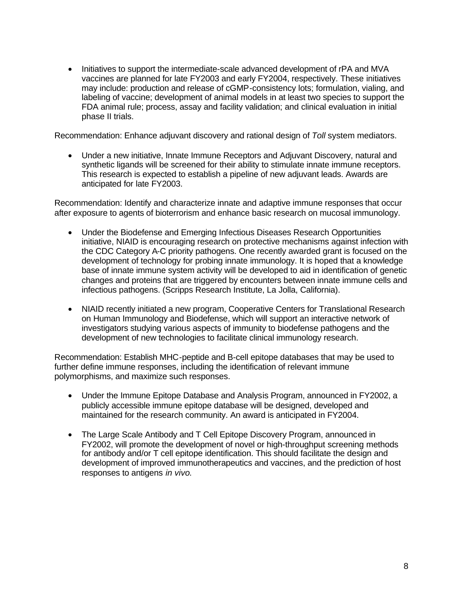Initiatives to support the intermediate-scale advanced development of rPA and MVA vaccines are planned for late FY2003 and early FY2004, respectively. These initiatives may include: production and release of cGMP-consistency lots; formulation, vialing, and labeling of vaccine; development of animal models in at least two species to support the FDA animal rule; process, assay and facility validation; and clinical evaluation in initial phase II trials.

Recommendation: Enhance adjuvant discovery and rational design of *Toll* system mediators.

• Under a new initiative, Innate Immune Receptors and Adjuvant Discovery, natural and synthetic ligands will be screened for their ability to stimulate innate immune receptors. This research is expected to establish a pipeline of new adjuvant leads. Awards are anticipated for late FY2003.

Recommendation: Identify and characterize innate and adaptive immune responses that occur after exposure to agents of bioterrorism and enhance basic research on mucosal immunology.

- Under the Biodefense and Emerging Infectious Diseases Research Opportunities initiative, NIAID is encouraging research on protective mechanisms against infection with the CDC Category A-C priority pathogens. One recently awarded grant is focused on the development of technology for probing innate immunology. It is hoped that a knowledge base of innate immune system activity will be developed to aid in identification of genetic changes and proteins that are triggered by encounters between innate immune cells and infectious pathogens. (Scripps Research Institute, La Jolla, California).
- NIAID recently initiated a new program, Cooperative Centers for Translational Research on Human Immunology and Biodefense, which will support an interactive network of investigators studying various aspects of immunity to biodefense pathogens and the development of new technologies to facilitate clinical immunology research.

Recommendation: Establish MHC-peptide and B-cell epitope databases that may be used to further define immune responses, including the identification of relevant immune polymorphisms, and maximize such responses.

- Under the Immune Epitope Database and Analysis Program, announced in FY2002, a publicly accessible immune epitope database will be designed, developed and maintained for the research community. An award is anticipated in FY2004.
- The Large Scale Antibody and T Cell Epitope Discovery Program, announced in FY2002, will promote the development of novel or high-throughput screening methods for antibody and/or T cell epitope identification. This should facilitate the design and development of improved immunotherapeutics and vaccines, and the prediction of host responses to antigens *in vivo*.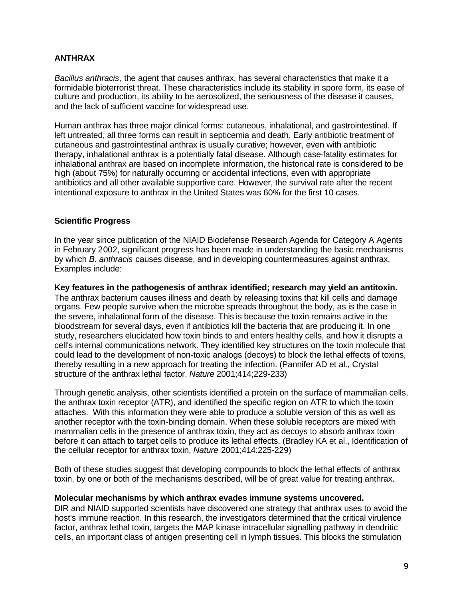## <span id="page-10-0"></span>**ANTHRAX**

*Bacillus anthracis*, the agent that causes anthrax, has several characteristics that make it a formidable bioterrorist threat. These characteristics include its stability in spore form, its ease of culture and production, its ability to be aerosolized, the seriousness of the disease it causes, and the lack of sufficient vaccine for widespread use.

Human anthrax has three major clinical forms: cutaneous, inhalational, and gastrointestinal. If left untreated, all three forms can result in septicemia and death. Early antibiotic treatment of cutaneous and gastrointestinal anthrax is usually curative; however, even with antibiotic therapy, inhalational anthrax is a potentially fatal disease. Although case-fatality estimates for inhalational anthrax are based on incomplete information, the historical rate is considered to be high (about 75%) for naturally occurring or accidental infections, even with appropriate antibiotics and all other available supportive care. However, the survival rate after the recent intentional exposure to anthrax in the United States was 60% for the first 10 cases.

## **Scientific Progress**

In the year since publication of the NIAID Biodefense Research Agenda for Category A Agents in February 2002, significant progress has been made in understanding the basic mechanisms by which *B. anthracis* causes disease, and in developing countermeasures against anthrax. Examples include:

**Key features in the pathogenesis of anthrax identified; research may yield an antitoxin.**  The anthrax bacterium causes illness and death by releasing toxins that kill cells and damage organs. Few people survive when the microbe spreads throughout the body, as is the case in the severe, inhalational form of the disease. This is because the toxin remains active in the bloodstream for several days, even if antibiotics kill the bacteria that are producing it. In one study, researchers elucidated how toxin binds to and enters healthy cells, and how it disrupts a cell's internal communications network. They identified key structures on the toxin molecule that could lead to the development of non-toxic analogs (decoys) to block the lethal effects of toxins, thereby resulting in a new approach for treating the infection. (Pannifer AD et al., Crystal structure of the anthrax lethal factor, *Nature* 2001;414;229-233)

Through genetic analysis, other scientists identified a protein on the surface of mammalian cells, the anthrax toxin receptor (ATR), and identified the specific region on ATR to which the toxin attaches. With this information they were able to produce a soluble version of this as well as another receptor with the toxin-binding domain. When these soluble receptors are mixed with mammalian cells in the presence of anthrax toxin, they act as decoys to absorb anthrax toxin before it can attach to target cells to produce its lethal effects. (Bradley KA et al., Identification of the cellular receptor for anthrax toxin, *Nature* 2001;414:225-229)

Both of these studies suggest that developing compounds to block the lethal effects of anthrax toxin, by one or both of the mechanisms described, will be of great value for treating anthrax.

#### **Molecular mechanisms by which anthrax evades immune systems uncovered.**

DIR and NIAID supported scientists have discovered one strategy that anthrax uses to avoid the host's immune reaction. In this research, the investigators determined that the critical virulence factor, anthrax lethal toxin, targets the MAP kinase intracellular signalling pathway in dendritic cells, an important class of antigen presenting cell in lymph tissues. This blocks the stimulation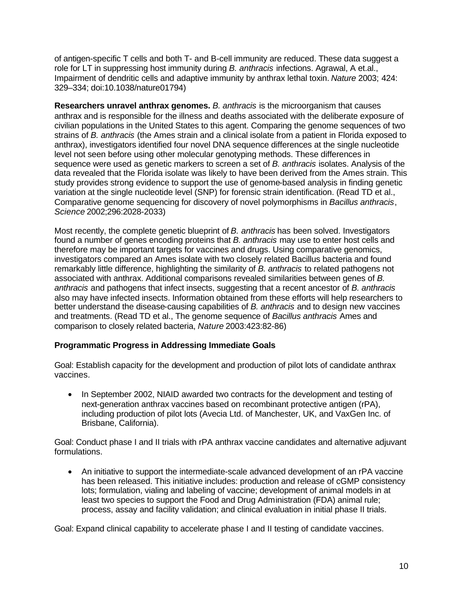of antigen-specific T cells and both T- and B-cell immunity are reduced. These data suggest a role for LT in suppressing host immunity during *B. anthracis* infections. Agrawal, A et.al., Impairment of dendritic cells and adaptive immunity by anthrax lethal toxin. *Nature* 2003; 424: 329–334; doi:10.1038/nature01794)

**Researchers unravel anthrax genomes.** *B. anthracis* is the microorganism that causes anthrax and is responsible for the illness and deaths associated with the deliberate exposure of civilian populations in the United States to this agent. Comparing the genome sequences of two strains of *B. anthracis* (the Ames strain and a clinical isolate from a patient in Florida exposed to anthrax), investigators identified four novel DNA sequence differences at the single nucleotide level not seen before using other molecular genotyping methods. These differences in sequence were used as genetic markers to screen a set of *B. anthracis* isolates. Analysis of the data revealed that the Florida isolate was likely to have been derived from the Ames strain. This study provides strong evidence to support the use of genome-based analysis in finding genetic variation at the single nucleotide level (SNP) for forensic strain identification. (Read TD et al., Comparative genome sequencing for discovery of novel polymorphisms in *Bacillus anthracis*, *Science* 2002;296:2028-2033)

Most recently, the complete genetic blueprint of *B. anthracis* has been solved. Investigators found a number of genes encoding proteins that *B. anthracis* may use to enter host cells and therefore may be important targets for vaccines and drugs. Using comparative genomics, investigators compared an Ames isolate with two closely related Bacillus bacteria and found remarkably little difference, highlighting the similarity of *B. anthracis* to related pathogens not associated with anthrax. Additional comparisons revealed similarities between genes of *B. anthracis* and pathogens that infect insects, suggesting that a recent ancestor of *B. anthracis*  also may have infected insects. Information obtained from these efforts will help researchers to better understand the disease-causing capabilities of *B. anthracis* and to design new vaccines and treatments. (Read TD et al., The genome sequence of *Bacillus anthracis* Ames and comparison to closely related bacteria, *Nature* 2003:423:82-86)

## **Programmatic Progress in Addressing Immediate Goals**

Goal: Establish capacity for the development and production of pilot lots of candidate anthrax vaccines.

• In September 2002, NIAID awarded two contracts for the development and testing of next-generation anthrax vaccines based on recombinant protective antigen (rPA), including production of pilot lots (Avecia Ltd. of Manchester, UK, and VaxGen Inc. of Brisbane, California).

Goal: Conduct phase I and II trials with rPA anthrax vaccine candidates and alternative adjuvant formulations.

• An initiative to support the intermediate-scale advanced development of an rPA vaccine has been released. This initiative includes: production and release of cGMP consistency lots; formulation, vialing and labeling of vaccine; development of animal models in at least two species to support the Food and Drug Administration (FDA) animal rule; process, assay and facility validation; and clinical evaluation in initial phase II trials.

Goal: Expand clinical capability to accelerate phase I and II testing of candidate vaccines.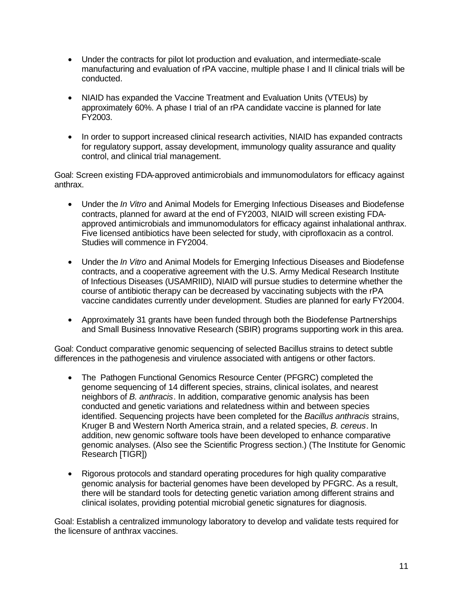- Under the contracts for pilot lot production and evaluation, and intermediate-scale manufacturing and evaluation of rPA vaccine, multiple phase I and II clinical trials will be conducted.
- NIAID has expanded the Vaccine Treatment and Evaluation Units (VTEUs) by approximately 60%. A phase I trial of an rPA candidate vaccine is planned for late FY2003.
- In order to support increased clinical research activities, NIAID has expanded contracts for regulatory support, assay development, immunology quality assurance and quality control, and clinical trial management.

Goal: Screen existing FDA-approved antimicrobials and immunomodulators for efficacy against anthrax.

- Under the *In Vitro* and Animal Models for Emerging Infectious Diseases and Biodefense contracts, planned for award at the end of FY2003, NIAID will screen existing FDAapproved antimicrobials and immunomodulators for efficacy against inhalational anthrax. Five licensed antibiotics have been selected for study, with ciprofloxacin as a control. Studies will commence in FY2004.
- Under the *In Vitro* and Animal Models for Emerging Infectious Diseases and Biodefense contracts, and a cooperative agreement with the U.S. Army Medical Research Institute of Infectious Diseases (USAMRIID), NIAID will pursue studies to determine whether the course of antibiotic therapy can be decreased by vaccinating subjects with the rPA vaccine candidates currently under development. Studies are planned for early FY2004.
- Approximately 31 grants have been funded through both the Biodefense Partnerships and Small Business Innovative Research (SBIR) programs supporting work in this area.

Goal: Conduct comparative genomic sequencing of selected Bacillus strains to detect subtle differences in the pathogenesis and virulence associated with antigens or other factors.

- The Pathogen Functional Genomics Resource Center (PFGRC) completed the genome sequencing of 14 different species, strains, clinical isolates, and nearest neighbors of *B. anthracis*. In addition, comparative genomic analysis has been conducted and genetic variations and relatedness within and between species identified. Sequencing projects have been completed for the *Bacillus anthracis* strains, Kruger B and Western North America strain, and a related species, *B. cereus*. In addition, new genomic software tools have been developed to enhance comparative genomic analyses. (Also see the Scientific Progress section.) (The Institute for Genomic Research [TIGR])
- Rigorous protocols and standard operating procedures for high quality comparative genomic analysis for bacterial genomes have been developed by PFGRC. As a result, there will be standard tools for detecting genetic variation among different strains and clinical isolates, providing potential microbial genetic signatures for diagnosis.

Goal: Establish a centralized immunology laboratory to develop and validate tests required for the licensure of anthrax vaccines.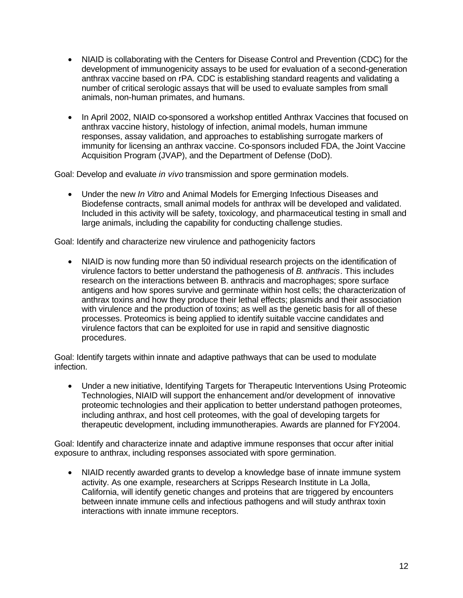- NIAID is collaborating with the Centers for Disease Control and Prevention (CDC) for the development of immunogenicity assays to be used for evaluation of a second-generation anthrax vaccine based on rPA. CDC is establishing standard reagents and validating a number of critical serologic assays that will be used to evaluate samples from small animals, non-human primates, and humans.
- In April 2002, NIAID co-sponsored a workshop entitled Anthrax Vaccines that focused on anthrax vaccine history, histology of infection, animal models, human immune responses, assay validation, and approaches to establishing surrogate markers of immunity for licensing an anthrax vaccine. Co-sponsors included FDA, the Joint Vaccine Acquisition Program (JVAP), and the Department of Defense (DoD).

Goal: Develop and evaluate *in vivo* transmission and spore germination models.

• Under the new *In Vitro* and Animal Models for Emerging Infectious Diseases and Biodefense contracts, small animal models for anthrax will be developed and validated. Included in this activity will be safety, toxicology, and pharmaceutical testing in small and large animals, including the capability for conducting challenge studies.

Goal: Identify and characterize new virulence and pathogenicity factors

NIAID is now funding more than 50 individual research projects on the identification of virulence factors to better understand the pathogenesis of *B. anthracis*. This includes research on the interactions between B. anthracis and macrophages; spore surface antigens and how spores survive and germinate within host cells; the characterization of anthrax toxins and how they produce their lethal effects; plasmids and their association with virulence and the production of toxins; as well as the genetic basis for all of these processes. Proteomics is being applied to identify suitable vaccine candidates and virulence factors that can be exploited for use in rapid and sensitive diagnostic procedures.

Goal: Identify targets within innate and adaptive pathways that can be used to modulate infection.

• Under a new initiative, Identifying Targets for Therapeutic Interventions Using Proteomic Technologies, NIAID will support the enhancement and/or development of innovative proteomic technologies and their application to better understand pathogen proteomes, including anthrax, and host cell proteomes, with the goal of developing targets for therapeutic development, including immunotherapies. Awards are planned for FY2004.

Goal: Identify and characterize innate and adaptive immune responses that occur after initial exposure to anthrax, including responses associated with spore germination.

• NIAID recently awarded grants to develop a knowledge base of innate immune system activity. As one example, researchers at Scripps Research Institute in La Jolla, California, will identify genetic changes and proteins that are triggered by encounters between innate immune cells and infectious pathogens and will study anthrax toxin interactions with innate immune receptors.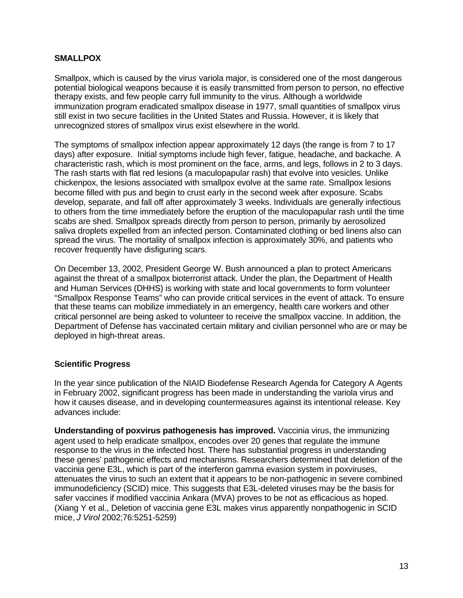## <span id="page-14-0"></span>**SMALLPOX**

Smallpox, which is caused by the viru*s* variola major, is considered one of the most dangerous potential biological weapons because it is easily transmitted from person to person, no effective therapy exists, and few people carry full immunity to the virus. Although a worldwide immunization program eradicated smallpox disease in 1977, small quantities of smallpox virus still exist in two secure facilities in the United States and Russia. However, it is likely that unrecognized stores of smallpox virus exist elsewhere in the world.

The symptoms of smallpox infection appear approximately 12 days (the range is from 7 to 17 days) after exposure. Initial symptoms include high fever, fatigue, headache, and backache. A characteristic rash, which is most prominent on the face, arms, and legs, follows in 2 to 3 days. The rash starts with flat red lesions (a maculopapular rash) that evolve into vesicles. Unlike chickenpox, the lesions associated with smallpox evolve at the same rate. Smallpox lesions become filled with pus and begin to crust early in the second week after exposure. Scabs develop, separate, and fall off after approximately 3 weeks. Individuals are generally infectious to others from the time immediately before the eruption of the maculopapular rash until the time scabs are shed. Smallpox spreads directly from person to person, primarily by aerosolized saliva droplets expelled from an infected person. Contaminated clothing or bed linens also can spread the virus. The mortality of smallpox infection is approximately 30%, and patients who recover frequently have disfiguring scars.

On December 13, 2002, President George W. Bush announced a plan to protect Americans against the threat of a smallpox bioterrorist attack. Under the plan, the Department of Health and Human Services (DHHS) is working with state and local governments to form volunteer "Smallpox Response Teams" who can provide critical services in the event of attack. To ensure that these teams can mobilize immediately in an emergency, health care workers and other critical personnel are being asked to volunteer to receive the smallpox vaccine. In addition, the Department of Defense has vaccinated certain military and civilian personnel who are or may be deployed in high-threat areas.

#### **Scientific Progress**

In the year since publication of the NIAID Biodefense Research Agenda for Category A Agents in February 2002, significant progress has been made in understanding the variola virus and how it causes disease, and in developing countermeasures against its intentional release. Key advances include:

**Understanding of poxvirus pathogenesis has improved.** Vaccinia virus, the immunizing agent used to help eradicate smallpox, encodes over 20 genes that regulate the immune response to the virus in the infected host. There has substantial progress in understanding these genes' pathogenic effects and mechanisms. Researchers determined that deletion of the vaccinia gene E3L, which is part of the interferon gamma evasion system in poxviruses, attenuates the virus to such an extent that it appears to be non-pathogenic in severe combined immunodeficiency (SCID) mice. This suggests that E3L-deleted viruses may be the basis for safer vaccines if modified vaccinia Ankara (MVA) proves to be not as efficacious as hoped. (Xiang Y et al., Deletion of vaccinia gene E3L makes virus apparently nonpathogenic in SCID mice, *J Virol* 2002;76:5251-5259)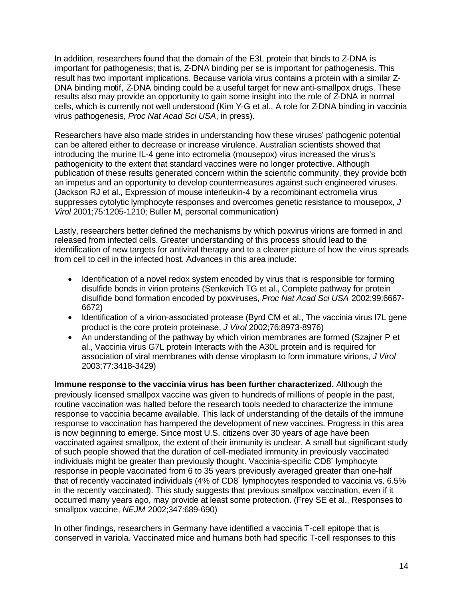In addition, researchers found that the domain of the E3L protein that binds to Z-DNA is important for pathogenesis; that is, Z-DNA binding per se is important for pathogenesis. This result has two important implications. Because variola virus contains a protein with a similar Z-DNA binding motif, Z-DNA binding could be a useful target for new anti-smallpox drugs. These results also may provide an opportunity to gain some insight into the role of Z-DNA in normal cells, which is currently not well understood (Kim Y-G et al., A role for Z-DNA binding in vaccinia virus pathogenesis, *Proc Nat Acad Sci USA*, in press).

Researchers have also made strides in understanding how these viruses' pathogenic potential can be altered either to decrease or increase virulence. Australian scientists showed that introducing the murine IL-4 gene into ectromelia (mousepox) virus increased the virus's pathogenicity to the extent that standard vaccines were no longer protective. Although publication of these results generated concern within the scientific community, they provide both an impetus and an opportunity to develop countermeasures against such engineered viruses. (Jackson RJ et al., Expression of mouse interleukin-4 by a recombinant ectromelia virus suppresses cytolytic lymphocyte responses and overcomes genetic resistance to mousepox, *J Virol* 2001;75:1205-1210; Buller M, personal communication)

Lastly, researchers better defined the mechanisms by which poxvirus virions are formed in and released from infected cells. Greater understanding of this process should lead to the identification of new targets for antiviral therapy and to a clearer picture of how the virus spreads from cell to cell in the infected host. Advances in this area include:

- Identification of a novel redox system encoded by virus that is responsible for forming disulfide bonds in virion proteins (Senkevich TG et al., Complete pathway for protein disulfide bond formation encoded by poxviruses, *Proc Nat Acad Sci USA* 2002;99:6667 6672)
- Identification of a virion-associated protease (Byrd CM et al., The vaccinia virus I7L gene product is the core protein proteinase, *J Virol* 2002;76:8973-8976)
- An understanding of the pathway by which virion membranes are formed (Szajner P et al., Vaccinia virus G7L protein Interacts with the A30L protein and is required for association of viral membranes with dense viroplasm to form immature virions, *J Virol*  2003;77:3418-3429)

**Immune response to the vaccinia virus has been further characterized.** Although the previously licensed smallpox vaccine was given to hundreds of millions of people in the past, routine vaccination was halted before the research tools needed to characterize the immune response to vaccinia became available. This lack of understanding of the details of the immune response to vaccination has hampered the development of new vaccines. Progress in this area is now beginning to emerge. Since most U.S. citizens over 30 years of age have been vaccinated against smallpox, the extent of their immunity is unclear. A small but significant study of such people showed that the duration of cell-mediated immunity in previously vaccinated individuals might be greater than previously thought. Vaccinia-specific CD8<sup>+</sup> lymphocyte response in people vaccinated from 6 to 35 years previously averaged greater than one-half that of recently vaccinated individuals (4% of CD8<sup>+</sup> lymphocytes responded to vaccinia vs. 6.5% in the recently vaccinated). This study suggests that previous smallpox vaccination, even if it occurred many years ago, may provide at least some protection. (Frey SE et al., Responses to smallpox vaccine, *NEJM* 2002;347:689-690)

In other findings, researchers in Germany have identified a vaccinia T-cell epitope that is conserved in variola. Vaccinated mice and humans both had specific T-cell responses to this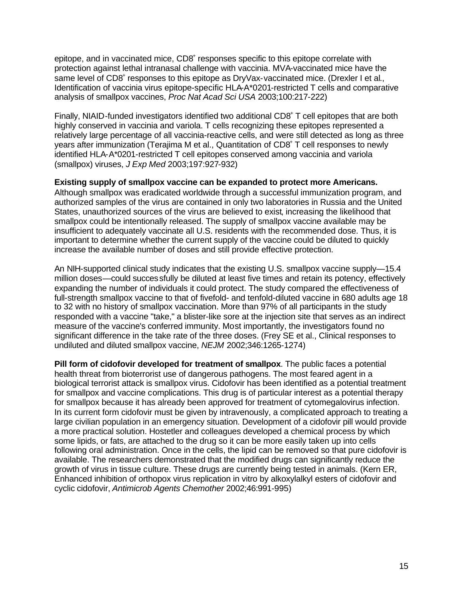epitope, and in vaccinated mice, CD8<sup>+</sup> responses specific to this epitope correlate with protection against lethal intranasal challenge with vaccinia. MVA-vaccinated mice have the same level of CD8<sup>+</sup> responses to this epitope as DryVax-vaccinated mice. (Drexler I et al., Identification of vaccinia virus epitope-specific HLA-A\*0201-restricted T cells and comparative analysis of smallpox vaccines, *Proc Nat Acad Sci USA* 2003;100:217-222)

Finally, NIAID-funded investigators identified two additional CD8<sup>+</sup> T cell epitopes that are both highly conserved in vaccinia and variola. T cells recognizing these epitopes represented a relatively large percentage of all vaccinia-reactive cells, and were still detected as long as three years after immunization (Terajima M et al., Quantitation of CD8<sup>+</sup> T cell responses to newly identified HLA-A\*0201-restricted T cell epitopes conserved among vaccinia and variola (smallpox) viruses, *J Exp Med* 2003;197:927-932)

#### **Existing supply of smallpox vaccine can be expanded to protect more Americans.**

Although smallpox was eradicated worldwide through a successful immunization program, and authorized samples of the virus are contained in only two laboratories in Russia and the United States, unauthorized sources of the virus are believed to exist, increasing the likelihood that smallpox could be intentionally released. The supply of smallpox vaccine available may be insufficient to adequately vaccinate all U.S. residents with the recommended dose. Thus, it is important to determine whether the current supply of the vaccine could be diluted to quickly increase the available number of doses and still provide effective protection.

An NIH-supported clinical study indicates that the existing U.S. smallpox vaccine supply—15.4 million doses—could successfully be diluted at least five times and retain its potency, effectively expanding the number of individuals it could protect. The study compared the effectiveness of full-strength smallpox vaccine to that of fivefold- and tenfold-diluted vaccine in 680 adults age 18 to 32 with no history of smallpox vaccination. More than 97% of all participants in the study responded with a vaccine "take," a blister-like sore at the injection site that serves as an indirect measure of the vaccine's conferred immunity. Most importantly, the investigators found no significant difference in the take rate of the three doses. (Frey SE et al., Clinical responses to undiluted and diluted smallpox vaccine, *NEJM* 2002;346:1265-1274)

**Pill form of cidofovir developed for treatment of smallpox**. The public faces a potential health threat from bioterrorist use of dangerous pathogens. The most feared agent in a biological terrorist attack is smallpox virus. Cidofovir has been identified as a potential treatment for smallpox and vaccine complications. This drug is of particular interest as a potential therapy for smallpox because it has already been approved for treatment of cytomegalovirus infection. In its current form cidofovir must be given by intravenously, a complicated approach to treating a large civilian population in an emergency situation. Development of a cidofovir pill would provide a more practical solution. Hostetler and colleagues developed a chemical process by which some lipids, or fats, are attached to the drug so it can be more easily taken up into cells following oral administration. Once in the cells, the lipid can be removed so that pure cidofovir is available. The researchers demonstrated that the modified drugs can significantly reduce the growth of virus in tissue culture. These drugs are currently being tested in animals. (Kern ER, Enhanced inhibition of orthopox virus replication in vitro by alkoxylalkyl esters of cidofovir and cyclic cidofovir, *Antimicrob Agents Chemother* 2002;46:991-995)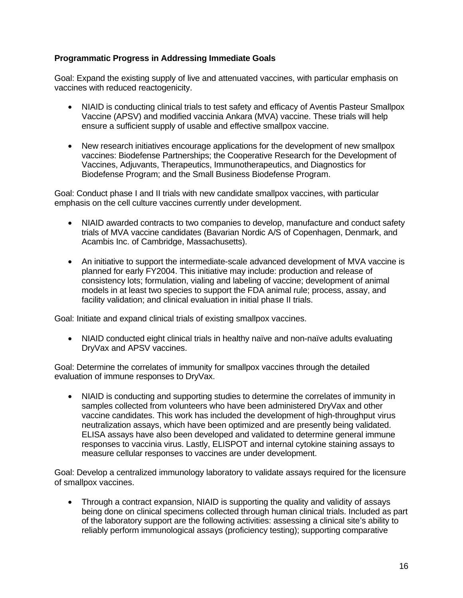## **Programmatic Progress in Addressing Immediate Goals**

Goal: Expand the existing supply of live and attenuated vaccines, with particular emphasis on vaccines with reduced reactogenicity.

- NIAID is conducting clinical trials to test safety and efficacy of Aventis Pasteur Smallpox Vaccine (APSV) and modified vaccinia Ankara (MVA) vaccine. These trials will help ensure a sufficient supply of usable and effective smallpox vaccine.
- New research initiatives encourage applications for the development of new smallpox vaccines: Biodefense Partnerships; the Cooperative Research for the Development of Vaccines, Adjuvants, Therapeutics, Immunotherapeutics, and Diagnostics for Biodefense Program; and the Small Business Biodefense Program.

Goal: Conduct phase I and II trials with new candidate smallpox vaccines, with particular emphasis on the cell culture vaccines currently under development.

- NIAID awarded contracts to two companies to develop, manufacture and conduct safety trials of MVA vaccine candidates (Bavarian Nordic A/S of Copenhagen, Denmark, and Acambis Inc. of Cambridge, Massachusetts).
- An initiative to support the intermediate-scale advanced development of MVA vaccine is planned for early FY2004. This initiative may include: production and release of consistency lots; formulation, vialing and labeling of vaccine; development of animal models in at least two species to support the FDA animal rule; process, assay, and facility validation; and clinical evaluation in initial phase II trials.

Goal: Initiate and expand clinical trials of existing smallpox vaccines.

• NIAID conducted eight clinical trials in healthy naïve and non-naïve adults evaluating DryVax and APSV vaccines.

Goal: Determine the correlates of immunity for smallpox vaccines through the detailed evaluation of immune responses to DryVax.

NIAID is conducting and supporting studies to determine the correlates of immunity in samples collected from volunteers who have been administered DryVax and other vaccine candidates. This work has included the development of high-throughput virus neutralization assays, which have been optimized and are presently being validated. ELISA assays have also been developed and validated to determine general immune responses to vaccinia virus. Lastly, ELISPOT and internal cytokine staining assays to measure cellular responses to vaccines are under development.

Goal: Develop a centralized immunology laboratory to validate assays required for the licensure of smallpox vaccines.

• Through a contract expansion, NIAID is supporting the quality and validity of assays being done on clinical specimens collected through human clinical trials. Included as part of the laboratory support are the following activities: assessing a clinical site's ability to reliably perform immunological assays (proficiency testing); supporting comparative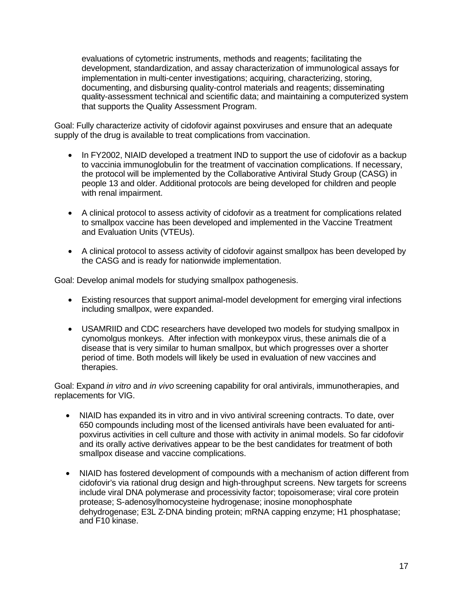evaluations of cytometric instruments, methods and reagents; facilitating the development, standardization, and assay characterization of immunological assays for implementation in multi-center investigations; acquiring, characterizing, storing, documenting, and disbursing quality-control materials and reagents; disseminating quality-assessment technical and scientific data; and maintaining a computerized system that supports the Quality Assessment Program.

Goal: Fully characterize activity of cidofovir against poxviruses and ensure that an adequate supply of the drug is available to treat complications from vaccination.

- In FY2002, NIAID developed a treatment IND to support the use of cidofovir as a backup to vaccinia immunoglobulin for the treatment of vaccination complications. If necessary, the protocol will be implemented by the Collaborative Antiviral Study Group (CASG) in people 13 and older. Additional protocols are being developed for children and people with renal impairment.
- A clinical protocol to assess activity of cidofovir as a treatment for complications related to smallpox vaccine has been developed and implemented in the Vaccine Treatment and Evaluation Units (VTEUs).
- A clinical protocol to assess activity of cidofovir against smallpox has been developed by the CASG and is ready for nationwide implementation.

Goal: Develop animal models for studying smallpox pathogenesis.

- Existing resources that support animal-model development for emerging viral infections including smallpox, were expanded.
- USAMRIID and CDC researchers have developed two models for studying smallpox in cynomolgus monkeys. After infection with monkeypox virus, these animals die of a disease that is very similar to human smallpox, but which progresses over a shorter period of time. Both models will likely be used in evaluation of new vaccines and therapies.

Goal: Expand *in vitro* and *in vivo* screening capability for oral antivirals, immunotherapies, and replacements for VIG.

- NIAID has expanded its in vitro and in vivo antiviral screening contracts. To date, over 650 compounds including most of the licensed antivirals have been evaluated for antipoxvirus activities in cell culture and those with activity in animal models. So far cidofovir and its orally active derivatives appear to be the best candidates for treatment of both smallpox disease and vaccine complications.
- NIAID has fostered development of compounds with a mechanism of action different from cidofovir's via rational drug design and high-throughput screens. New targets for screens include viral DNA polymerase and processivity factor; topoisomerase; viral core protein protease; S-adenosylhomocysteine hydrogenase; inosine monophosphate dehydrogenase; E3L Z-DNA binding protein; mRNA capping enzyme; H1 phosphatase; and F10 kinase.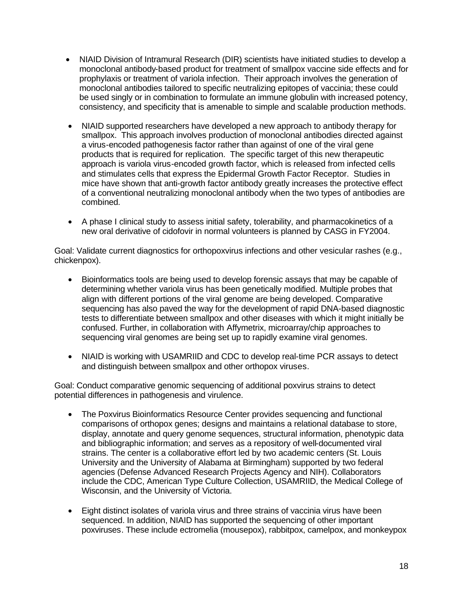- NIAID Division of Intramural Research (DIR) scientists have initiated studies to develop a monoclonal antibody-based product for treatment of smallpox vaccine side effects and for prophylaxis or treatment of variola infection. Their approach involves the generation of monoclonal antibodies tailored to specific neutralizing epitopes of vaccinia; these could be used singly or in combination to formulate an immune globulin with increased potency, consistency, and specificity that is amenable to simple and scalable production methods.
- NIAID supported researchers have developed a new approach to antibody therapy for smallpox. This approach involves production of monoclonal antibodies directed against a virus-encoded pathogenesis factor rather than against of one of the viral gene products that is required for replication. The specific target of this new therapeutic approach is variola virus-encoded growth factor, which is released from infected cells and stimulates cells that express the Epidermal Growth Factor Receptor. Studies in mice have shown that anti-growth factor antibody greatly increases the protective effect of a conventional neutralizing monoclonal antibody when the two types of antibodies are combined.
- A phase I clinical study to assess initial safety, tolerability, and pharmacokinetics of a new oral derivative of cidofovir in normal volunteers is planned by CASG in FY2004.

Goal: Validate current diagnostics for orthopoxvirus infections and other vesicular rashes (e.g., chickenpox).

- Bioinformatics tools are being used to develop forensic assays that may be capable of determining whether variola virus has been genetically modified. Multiple probes that align with different portions of the viral genome are being developed. Comparative sequencing has also paved the way for the development of rapid DNA-based diagnostic tests to differentiate between smallpox and other diseases with which it might initially be confused. Further, in collaboration with Affymetrix, microarray/chip approaches to sequencing viral genomes are being set up to rapidly examine viral genomes.
- NIAID is working with USAMRIID and CDC to develop real-time PCR assays to detect and distinguish between smallpox and other orthopox viruses.

Goal: Conduct comparative genomic sequencing of additional poxvirus strains to detect potential differences in pathogenesis and virulence.

- The Poxvirus Bioinformatics Resource Center provides sequencing and functional comparisons of orthopox genes; designs and maintains a relational database to store, display, annotate and query genome sequences, structural information, phenotypic data and bibliographic information; and serves as a repository of well-documented viral strains. The center is a collaborative effort led by two academic centers (St. Louis University and the University of Alabama at Birmingham) supported by two federal agencies (Defense Advanced Research Projects Agency and NIH). Collaborators include the CDC, American Type Culture Collection, USAMRIID, the Medical College of Wisconsin, and the University of Victoria.
- Eight distinct isolates of variola virus and three strains of vaccinia virus have been sequenced. In addition, NIAID has supported the sequencing of other important poxviruses. These include ectromelia (mousepox), rabbitpox, camelpox, and monkeypox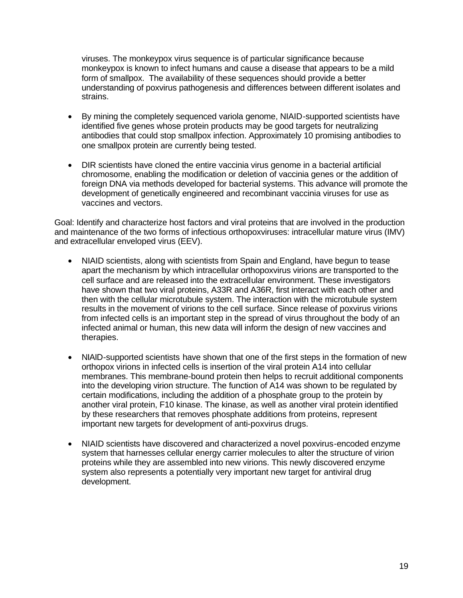viruses. The monkeypox virus sequence is of particular significance because monkeypox is known to infect humans and cause a disease that appears to be a mild form of smallpox. The availability of these sequences should provide a better understanding of poxvirus pathogenesis and differences between different isolates and strains.

- • By mining the completely sequenced variola genome, NIAID-supported scientists have identified five genes whose protein products may be good targets for neutralizing antibodies that could stop smallpox infection. Approximately 10 promising antibodies to one smallpox protein are currently being tested.
- DIR scientists have cloned the entire vaccinia virus genome in a bacterial artificial chromosome, enabling the modification or deletion of vaccinia genes or the addition of foreign DNA via methods developed for bacterial systems. This advance will promote the development of genetically engineered and recombinant vaccinia viruses for use as vaccines and vectors.

Goal: Identify and characterize host factors and viral proteins that are involved in the production and maintenance of the two forms of infectious orthopoxviruses: intracellular mature virus (IMV) and extracellular enveloped virus (EEV).

- NIAID scientists, along with scientists from Spain and England, have begun to tease apart the mechanism by which intracellular orthopoxvirus virions are transported to the cell surface and are released into the extracellular environment. These investigators have shown that two viral proteins, A33R and A36R, first interact with each other and then with the cellular microtubule system. The interaction with the microtubule system results in the movement of virions to the cell surface. Since release of poxvirus virions from infected cells is an important step in the spread of virus throughout the body of an infected animal or human, this new data will inform the design of new vaccines and therapies.
- NIAID-supported scientists have shown that one of the first steps in the formation of new orthopox virions in infected cells is insertion of the viral protein A14 into cellular membranes. This membrane-bound protein then helps to recruit additional components into the developing virion structure. The function of A14 was shown to be regulated by certain modifications, including the addition of a phosphate group to the protein by another viral protein, F10 kinase. The kinase, as well as another viral protein identified by these researchers that removes phosphate additions from proteins, represent important new targets for development of anti-poxvirus drugs.
- NIAID scientists have discovered and characterized a novel poxvirus-encoded enzyme system that harnesses cellular energy carrier molecules to alter the structure of virion proteins while they are assembled into new virions. This newly discovered enzyme system also represents a potentially very important new target for antiviral drug development.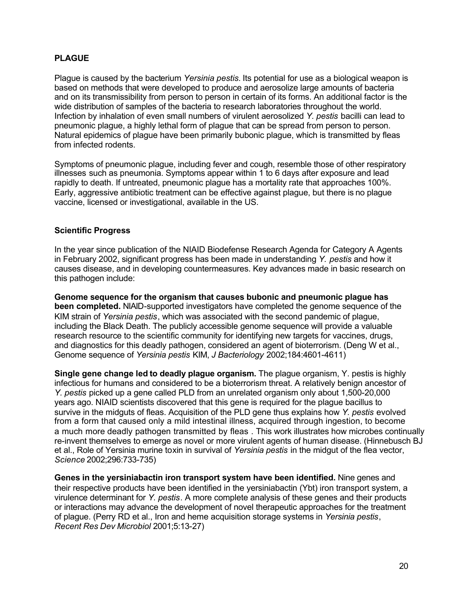## <span id="page-21-0"></span>**PLAGUE**

Plague is caused by the bacterium *Yersinia pestis.* Its potential for use as a biological weapon is based on methods that were developed to produce and aerosolize large amounts of bacteria and on its transmissibility from person to person in certain of its forms. An additional factor is the wide distribution of samples of the bacteria to research laboratories throughout the world. Infection by inhalation of even small numbers of virulent aerosolized *Y. pestis* bacilli can lead to pneumonic plague, a highly lethal form of plague that can be spread from person to person. Natural epidemics of plague have been primarily bubonic plague, which is transmitted by fleas from infected rodents.

Symptoms of pneumonic plague, including fever and cough, resemble those of other respiratory illnesses such as pneumonia. Symptoms appear within 1 to 6 days after exposure and lead rapidly to death. If untreated, pneumonic plague has a mortality rate that approaches 100%. Early, aggressive antibiotic treatment can be effective against plague, but there is no plague vaccine, licensed or investigational, available in the US.

#### **Scientific Progress**

In the year since publication of the NIAID Biodefense Research Agenda for Category A Agents in February 2002, significant progress has been made in understanding *Y. pestis* and how it causes disease, and in developing countermeasures. Key advances made in basic research on this pathogen include:

**Genome sequence for the organism that causes bubonic and pneumonic plague has been completed.** NIAID-supported investigators have completed the genome sequence of the KIM strain of *Yersinia pestis*, which was associated with the second pandemic of plague, including the Black Death. The publicly accessible genome sequence will provide a valuable research resource to the scientific community for identifying new targets for vaccines, drugs, and diagnostics for this deadly pathogen, considered an agent of bioterrorism. (Deng W et al., Genome sequence of *Yersinia pestis* KIM, *J Bacteriology* 2002;184:4601-4611)

**Single gene change led to deadly plague organism.** The plague organism, Y. pestis is highly infectious for humans and considered to be a bioterrorism threat. A relatively benign ancestor of *Y. pestis* picked up a gene called PLD from an unrelated organism only about 1,500-20,000 years ago. NIAID scientists discovered that this gene is required for the plague bacillus to survive in the midguts of fleas. Acquisition of the PLD gene thus explains how *Y. pestis* evolved from a form that caused only a mild intestinal illness, acquired through ingestion, to become a much more deadly pathogen transmitted by fleas . This work illustrates how microbes continually re-invent themselves to emerge as novel or more virulent agents of human disease. (Hinnebusch BJ et al., Role of Yersinia murine toxin in survival of *Yersinia pestis* in the midgut of the flea vector, *Science* 2002;296:733-735)

**Genes in the yersiniabactin iron transport system have been identified.** Nine genes and their respective products have been identified in the yersiniabactin (Ybt) iron transport system, a virulence determinant for *Y. pestis*. A more complete analysis of these genes and their products or interactions may advance the development of novel therapeutic approaches for the treatment of plague. (Perry RD et al., Iron and heme acquisition storage systems in *Yersinia pestis*, *Recent Res Dev Microbiol* 2001;5:13-27)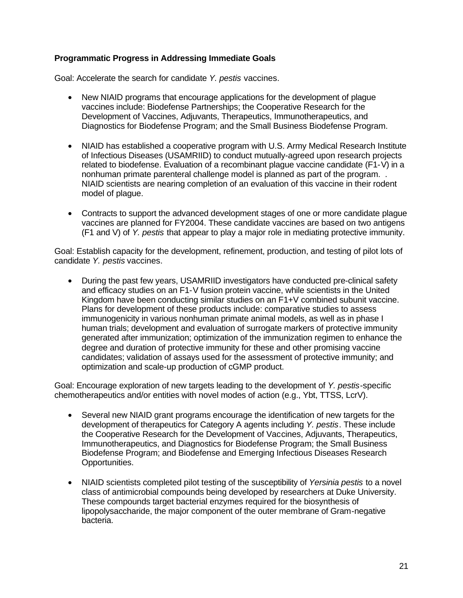## **Programmatic Progress in Addressing Immediate Goals**

Goal: Accelerate the search for candidate *Y. pestis* vaccines.

- New NIAID programs that encourage applications for the development of plague vaccines include: Biodefense Partnerships; the Cooperative Research for the Development of Vaccines, Adjuvants, Therapeutics, Immunotherapeutics, and Diagnostics for Biodefense Program; and the Small Business Biodefense Program.
- NIAID has established a cooperative program with U.S. Army Medical Research Institute of Infectious Diseases (USAMRIID) to conduct mutually-agreed upon research projects related to biodefense. Evaluation of a recombinant plague vaccine candidate (F1-V) in a nonhuman primate parenteral challenge model is planned as part of the program. . NIAID scientists are nearing completion of an evaluation of this vaccine in their rodent model of plague.
- Contracts to support the advanced development stages of one or more candidate plague vaccines are planned for FY2004. These candidate vaccines are based on two antigens (F1 and V) of *Y. pestis* that appear to play a major role in mediating protective immunity.

Goal: Establish capacity for the development, refinement, production, and testing of pilot lots of candidate *Y. pestis* vaccines.

• During the past few years, USAMRIID investigators have conducted pre-clinical safety and efficacy studies on an F1-V fusion protein vaccine, while scientists in the United Kingdom have been conducting similar studies on an F1+V combined subunit vaccine. Plans for development of these products include: comparative studies to assess immunogenicity in various nonhuman primate animal models, as well as in phase I human trials; development and evaluation of surrogate markers of protective immunity generated after immunization; optimization of the immunization regimen to enhance the degree and duration of protective immunity for these and other promising vaccine candidates; validation of assays used for the assessment of protective immunity; and optimization and scale-up production of cGMP product.

Goal: Encourage exploration of new targets leading to the development of *Y. pestis*-specific chemotherapeutics and/or entities with novel modes of action (e.g., Ybt, TTSS, LcrV).

- Several new NIAID grant programs encourage the identification of new targets for the development of therapeutics for Category A agents including *Y. pestis*. These include the Cooperative Research for the Development of Vaccines, Adjuvants, Therapeutics, Immunotherapeutics, and Diagnostics for Biodefense Program; the Small Business Biodefense Program; and Biodefense and Emerging Infectious Diseases Research Opportunities.
- • NIAID scientists completed pilot testing of the susceptibility of *Yersinia pestis* to a novel class of antimicrobial compounds being developed by researchers at Duke University. These compounds target bacterial enzymes required for the biosynthesis of lipopolysaccharide, the major component of the outer membrane of Gram-negative bacteria.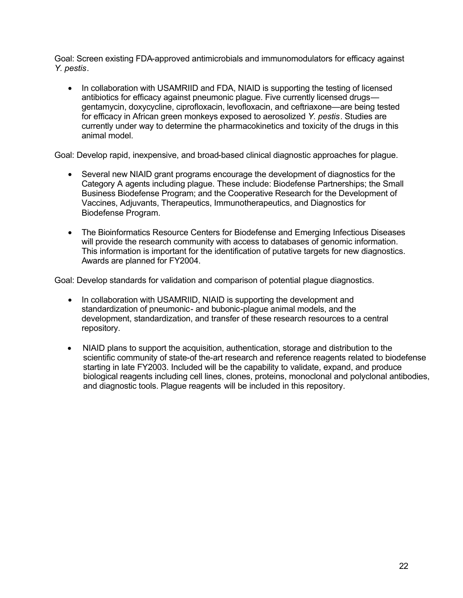Goal: Screen existing FDA-approved antimicrobials and immunomodulators for efficacy against *Y. pestis*.

In collaboration with USAMRIID and FDA, NIAID is supporting the testing of licensed antibiotics for efficacy against pneumonic plague. Five currently licensed drugs gentamycin, doxycycline, ciprofloxacin, levofloxacin, and ceftriaxone—are being tested for efficacy in African green monkeys exposed to aerosolized *Y. pestis*. Studies are currently under way to determine the pharmacokinetics and toxicity of the drugs in this animal model.

Goal: Develop rapid, inexpensive, and broad-based clinical diagnostic approaches for plague.

- Several new NIAID grant programs encourage the development of diagnostics for the Category A agents including plague. These include: Biodefense Partnerships; the Small Business Biodefense Program; and the Cooperative Research for the Development of Vaccines, Adjuvants, Therapeutics, Immunotherapeutics, and Diagnostics for Biodefense Program.
- The Bioinformatics Resource Centers for Biodefense and Emerging Infectious Diseases will provide the research community with access to databases of genomic information. This information is important for the identification of putative targets for new diagnostics. Awards are planned for FY2004.

Goal: Develop standards for validation and comparison of potential plague diagnostics.

- In collaboration with USAMRIID, NIAID is supporting the development and standardization of pneumonic- and bubonic-plague animal models, and the development, standardization, and transfer of these research resources to a central repository.
- NIAID plans to support the acquisition, authentication, storage and distribution to the scientific community of state-of the-art research and reference reagents related to biodefense starting in late FY2003. Included will be the capability to validate, expand, and produce biological reagents including cell lines, clones, proteins, monoclonal and polyclonal antibodies, and diagnostic tools. Plague reagents will be included in this repository.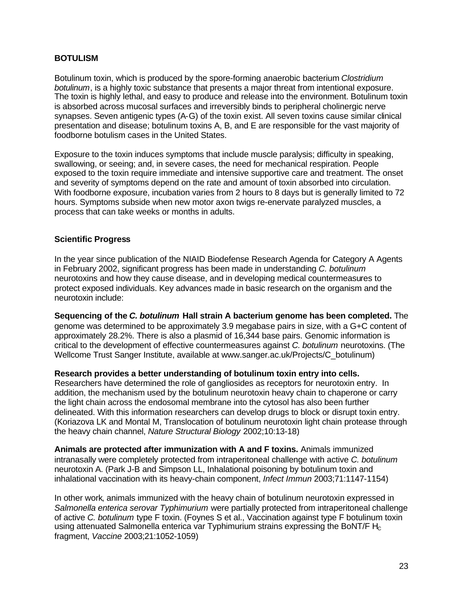## <span id="page-24-0"></span>**BOTULISM**

Botulinum toxin, which is produced by the spore-forming anaerobic bacterium *Clostridium botulinum*, is a highly toxic substance that presents a major threat from intentional exposure. The toxin is highly lethal, and easy to produce and release into the environment. Botulinum toxin is absorbed across mucosal surfaces and irreversibly binds to peripheral cholinergic nerve synapses. Seven antigenic types (A-G) of the toxin exist. All seven toxins cause similar clinical presentation and disease; botulinum toxins A, B, and E are responsible for the vast majority of foodborne botulism cases in the United States.

Exposure to the toxin induces symptoms that include muscle paralysis; difficulty in speaking, swallowing, or seeing; and, in severe cases, the need for mechanical respiration. People exposed to the toxin require immediate and intensive supportive care and treatment. The onset and severity of symptoms depend on the rate and amount of toxin absorbed into circulation. With foodborne exposure, incubation varies from 2 hours to 8 days but is generally limited to 72 hours. Symptoms subside when new motor axon twigs re-enervate paralyzed muscles, a process that can take weeks or months in adults.

#### **Scientific Progress**

In the year since publication of the NIAID Biodefense Research Agenda for Category A Agents in February 2002, significant progress has been made in understanding *C. botulinum*  neurotoxins and how they cause disease, and in developing medical countermeasures to protect exposed individuals. Key advances made in basic research on the organism and the neurotoxin include:

**Sequencing of the** *C. botulinum* **Hall strain A bacterium genome has been completed.** The genome was determined to be approximately 3.9 megabase pairs in size, with a G+C content of approximately 28.2%. There is also a plasmid of 16,344 base pairs. Genomic information is critical to the development of effective countermeasures against *C. botulinum* neurotoxins. (The Wellcome Trust Sanger Institute, available at www.sanger.ac.uk/Projects/C\_botulinum)

**Research provides a better understanding of botulinum toxin entry into cells.**  Researchers have determined the role of gangliosides as receptors for neurotoxin entry. In addition, the mechanism used by the botulinum neurotoxin heavy chain to chaperone or carry the light chain across the endosomal membrane into the cytosol has also been further delineated. With this information researchers can develop drugs to block or disrupt toxin entry.

(Koriazova LK and Montal M, Translocation of botulinum neurotoxin light chain protease through the heavy chain channel, *Nature Structural Biology* 2002;10:13-18)

**Animals are protected after immunization with A and F toxins.** Animals immunized intranasally were completely protected from intraperitoneal challenge with active *C. botulinum*  neurotoxin A. (Park J-B and Simpson LL, Inhalational poisoning by botulinum toxin and inhalational vaccination with its heavy-chain component, *Infect Immun* 2003;71:1147-1154)

In other work, animals immunized with the heavy chain of botulinum neurotoxin expressed in *Salmonella enterica serovar Typhimurium* were partially protected from intraperitoneal challenge of active *C. botulinum* type F toxin. (Foynes S et al., Vaccination against type F botulinum toxin using attenuated Salmonella enterica var Typhimurium strains expressing the BoNT/F  $H_c$ fragment, *Vaccine* 2003;21:1052-1059)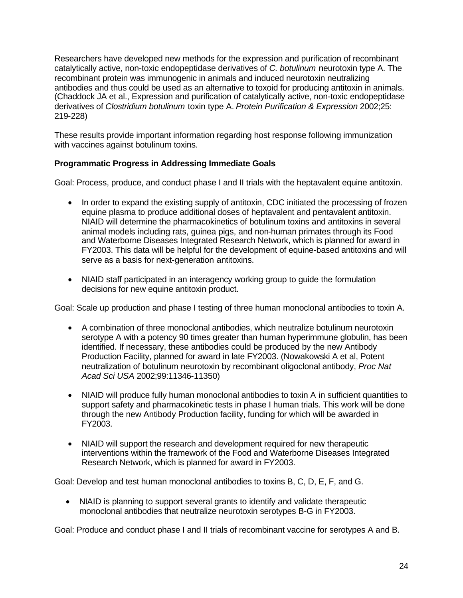Researchers have developed new methods for the expression and purification of recombinant catalytically active, non-toxic endopeptidase derivatives of *C. botulinum* neurotoxin type A. The recombinant protein was immunogenic in animals and induced neurotoxin neutralizing antibodies and thus could be used as an alternative to toxoid for producing antitoxin in animals. (Chaddock JA et al., Expression and purification of catalytically active, non-toxic endopeptidase derivatives of *Clostridium botulinum* toxin type A. *Protein Purification & Expression* 2002;25: 219-228)

These results provide important information regarding host response following immunization with vaccines against botulinum toxins.

## **Programmatic Progress in Addressing Immediate Goals**

Goal: Process, produce, and conduct phase I and II trials with the heptavalent equine antitoxin.

- In order to expand the existing supply of antitoxin, CDC initiated the processing of frozen equine plasma to produce additional doses of heptavalent and pentavalent antitoxin. NIAID will determine the pharmacokinetics of botulinum toxins and antitoxins in several animal models including rats, guinea pigs, and non-human primates through its Food and Waterborne Diseases Integrated Research Network, which is planned for award in FY2003. This data will be helpful for the development of equine-based antitoxins and will serve as a basis for next-generation antitoxins.
- NIAID staff participated in an interagency working group to guide the formulation decisions for new equine antitoxin product.

Goal: Scale up production and phase I testing of three human monoclonal antibodies to toxin A.

- A combination of three monoclonal antibodies, which neutralize botulinum neurotoxin serotype A with a potency 90 times greater than human hyperimmune globulin, has been identified. If necessary, these antibodies could be produced by the new Antibody Production Facility, planned for award in late FY2003. (Nowakowski A et al, Potent neutralization of botulinum neurotoxin by recombinant oligoclonal antibody, *Proc Nat Acad Sci USA* 2002;99:11346-11350)
- NIAID will produce fully human monoclonal antibodies to toxin A in sufficient quantities to support safety and pharmacokinetic tests in phase I human trials. This work will be done through the new Antibody Production facility, funding for which will be awarded in FY2003.
- NIAID will support the research and development required for new therapeutic interventions within the framework of the Food and Waterborne Diseases Integrated Research Network, which is planned for award in FY2003.

Goal: Develop and test human monoclonal antibodies to toxins B, C, D, E, F, and G.

• NIAID is planning to support several grants to identify and validate therapeutic monoclonal antibodies that neutralize neurotoxin serotypes B-G in FY2003.

Goal: Produce and conduct phase I and II trials of recombinant vaccine for serotypes A and B.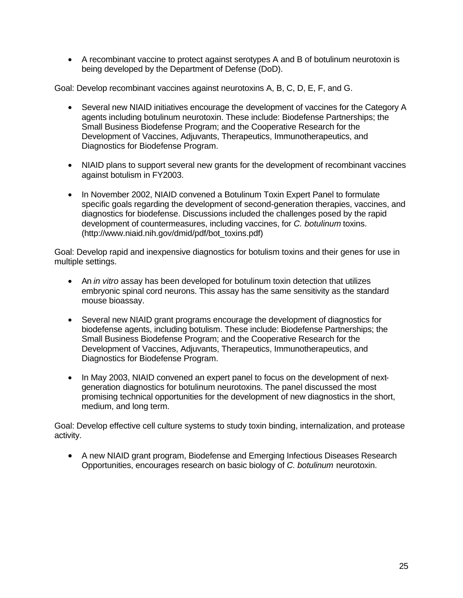• A recombinant vaccine to protect against serotypes A and B of botulinum neurotoxin is being developed by the Department of Defense (DoD).

Goal: Develop recombinant vaccines against neurotoxins A, B, C, D, E, F, and G.

- Several new NIAID initiatives encourage the development of vaccines for the Category A agents including botulinum neurotoxin. These include: Biodefense Partnerships; the Small Business Biodefense Program; and the Cooperative Research for the Development of Vaccines, Adjuvants, Therapeutics, Immunotherapeutics, and Diagnostics for Biodefense Program.
- NIAID plans to support several new grants for the development of recombinant vaccines against botulism in FY2003.
- In November 2002, NIAID convened a Botulinum Toxin Expert Panel to formulate specific goals regarding the development of second-generation therapies, vaccines, and diagnostics for biodefense. Discussions included the challenges posed by the rapid development of countermeasures, including vaccines, for *C. botulinum* toxins. (http://www.niaid.nih.gov/dmid/pdf/bot\_toxins.pdf)

Goal: Develop rapid and inexpensive diagnostics for botulism toxins and their genes for use in multiple settings.

- • An *in vitro* assay has been developed for botulinum toxin detection that utilizes embryonic spinal cord neurons. This assay has the same sensitivity as the standard mouse bioassay.
- Several new NIAID grant programs encourage the development of diagnostics for biodefense agents, including botulism. These include: Biodefense Partnerships; the Small Business Biodefense Program; and the Cooperative Research for the Development of Vaccines, Adjuvants, Therapeutics, Immunotherapeutics, and Diagnostics for Biodefense Program.
- In May 2003, NIAID convened an expert panel to focus on the development of nextgeneration diagnostics for botulinum neurotoxins. The panel discussed the most promising technical opportunities for the development of new diagnostics in the short, medium, and long term.

Goal: Develop effective cell culture systems to study toxin binding, internalization, and protease activity.

• A new NIAID grant program, Biodefense and Emerging Infectious Diseases Research Opportunities, encourages research on basic biology of *C. botulinum* neurotoxin.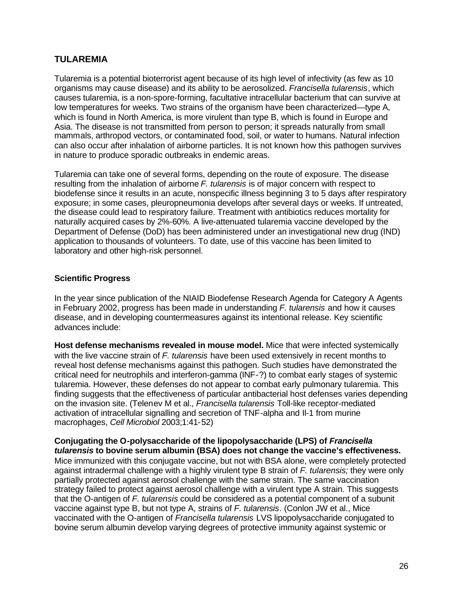## <span id="page-27-0"></span>**TULAREMIA**

Tularemia is a potential bioterrorist agent because of its high level of infectivity (as few as 10 organisms may cause disease) and its ability to be aerosolized. *Francisella tularensis*, which causes tularemia, is a non-spore-forming, facultative intracellular bacterium that can survive at low temperatures for weeks. Two strains of the organism have been characterized—type A, which is found in North America, is more virulent than type B, which is found in Europe and Asia. The disease is not transmitted from person to person; it spreads naturally from small mammals, arthropod vectors, or contaminated food, soil, or water to humans. Natural infection can also occur after inhalation of airborne particles. It is not known how this pathogen survives in nature to produce sporadic outbreaks in endemic areas.

Tularemia can take one of several forms, depending on the route of exposure. The disease resulting from the inhalation of airborne *F. tularensis* is of major concern with respect to biodefense since it results in an acute, nonspecific illness beginning 3 to 5 days after respiratory exposure; in some cases, pleuropneumonia develops after several days or weeks. If untreated, the disease could lead to respiratory failure. Treatment with antibiotics reduces mortality for naturally acquired cases by 2%-60%. A live-attenuated tularemia vaccine developed by the Department of Defense (DoD) has been administered under an investigational new drug (IND) application to thousands of volunteers. To date, use of this vaccine has been limited to laboratory and other high-risk personnel.

## **Scientific Progress**

In the year since publication of the NIAID Biodefense Research Agenda for Category A Agents in February 2002, progress has been made in understanding *F. tularensis* and how it causes disease, and in developing countermeasures against its intentional release. Key scientific advances include:

**Host defense mechanisms revealed in mouse model.** Mice that were infected systemically with the live vaccine strain of *F. tularensis* have been used extensively in recent months to reveal host defense mechanisms against this pathogen. Such studies have demonstrated the critical need for neutrophils and interferon-gamma (INF-?) to combat early stages of systemic tularemia. However, these defenses do not appear to combat early pulmonary tularemia. This finding suggests that the effectiveness of particular antibacterial host defenses varies depending on the invasion site. (Telenev M et al., *Francisella tularensis* Toll-like receptor-mediated activation of intracellular signalling and secretion of TNF-alpha and Il-1 from murine macrophages, *Cell Microbiol* 2003;1:41-52)

#### **Conjugating the O-polysaccharide of the lipopolysaccharide (LPS) of** *Francisella tularensis* **to bovine serum albumin (BSA) does not change the vaccine's effectiveness.**

Mice immunized with this conjugate vaccine, but not with BSA alone, were completely protected against intradermal challenge with a highly virulent type B strain of *F. tularensis;* they were only partially protected against aerosol challenge with the same strain. The same vaccination strategy failed to protect against aerosol challenge with a virulent type A strain. This suggests that the O-antigen of *F. tularensis* could be considered as a potential component of a subunit vaccine against type B, but not type A, strains of *F. tularensis*. (Conlon JW et al., Mice vaccinated with the O-antigen of *Francisella tularensis* LVS lipopolysaccharide conjugated to bovine serum albumin develop varying degrees of protective immunity against systemic or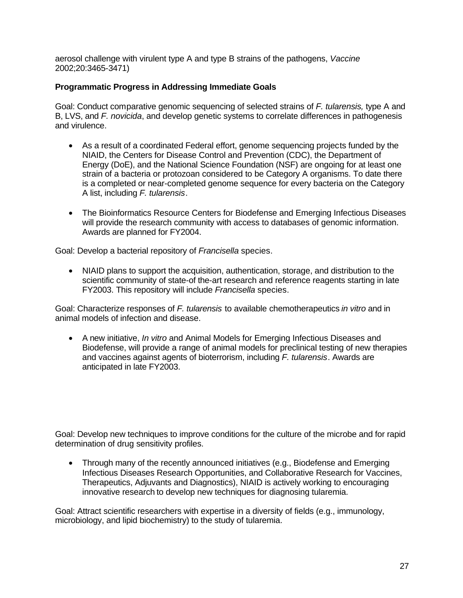aerosol challenge with virulent type A and type B strains of the pathogens, *Vaccine*  2002;20:3465-3471)

## **Programmatic Progress in Addressing Immediate Goals**

Goal: Conduct comparative genomic sequencing of selected strains of *F. tularensis,* type A and B, LVS, and *F. novicida*, and develop genetic systems to correlate differences in pathogenesis and virulence.

- As a result of a coordinated Federal effort, genome sequencing projects funded by the NIAID, the Centers for Disease Control and Prevention (CDC), the Department of Energy (DoE), and the National Science Foundation (NSF) are ongoing for at least one strain of a bacteria or protozoan considered to be Category A organisms. To date there is a completed or near-completed genome sequence for every bacteria on the Category A list, including *F. tularensis*.
- The Bioinformatics Resource Centers for Biodefense and Emerging Infectious Diseases will provide the research community with access to databases of genomic information. Awards are planned for FY2004.

Goal: Develop a bacterial repository of *Francisella* species.

• NIAID plans to support the acquisition, authentication, storage, and distribution to the scientific community of state-of the-art research and reference reagents starting in late FY2003. This repository will include *Francisella* species.

Goal: Characterize responses of *F. tularensis* to available chemotherapeutics *in vitro* and in animal models of infection and disease.

• A new initiative, *In vitro* and Animal Models for Emerging Infectious Diseases and Biodefense, will provide a range of animal models for preclinical testing of new therapies and vaccines against agents of bioterrorism, including *F. tularensis*. Awards are anticipated in late FY2003.

Goal: Develop new techniques to improve conditions for the culture of the microbe and for rapid determination of drug sensitivity profiles.

• Through many of the recently announced initiatives (e.g., Biodefense and Emerging Infectious Diseases Research Opportunities, and Collaborative Research for Vaccines, Therapeutics, Adjuvants and Diagnostics), NIAID is actively working to encouraging innovative research to develop new techniques for diagnosing tularemia.

Goal: Attract scientific researchers with expertise in a diversity of fields (e.g., immunology, microbiology, and lipid biochemistry) to the study of tularemia.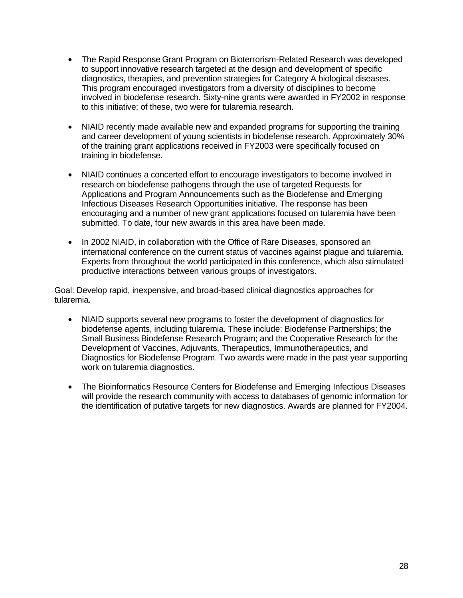- The Rapid Response Grant Program on Bioterrorism-Related Research was developed to support innovative research targeted at the design and development of specific diagnostics, therapies, and prevention strategies for Category A biological diseases. This program encouraged investigators from a diversity of disciplines to become involved in biodefense research. Sixty-nine grants were awarded in FY2002 in response to this initiative; of these, two were for tularemia research.
- NIAID recently made available new and expanded programs for supporting the training and career development of young scientists in biodefense research. Approximately 30% of the training grant applications received in FY2003 were specifically focused on training in biodefense.
- NIAID continues a concerted effort to encourage investigators to become involved in research on biodefense pathogens through the use of targeted Requests for Applications and Program Announcements such as the Biodefense and Emerging Infectious Diseases Research Opportunities initiative. The response has been encouraging and a number of new grant applications focused on tularemia have been submitted. To date, four new awards in this area have been made.
- In 2002 NIAID, in collaboration with the Office of Rare Diseases, sponsored an international conference on the current status of vaccines against plague and tularemia. Experts from throughout the world participated in this conference, which also stimulated productive interactions between various groups of investigators.

Goal: Develop rapid, inexpensive, and broad-based clinical diagnostics approaches for tularemia.

- NIAID supports several new programs to foster the development of diagnostics for biodefense agents, including tularemia. These include: Biodefense Partnerships; the Small Business Biodefense Research Program; and the Cooperative Research for the Development of Vaccines, Adjuvants, Therapeutics, Immunotherapeutics, and Diagnostics for Biodefense Program. Two awards were made in the past year supporting work on tularemia diagnostics.
- The Bioinformatics Resource Centers for Biodefense and Emerging Infectious Diseases will provide the research community with access to databases of genomic information for the identification of putative targets for new diagnostics. Awards are planned for FY2004.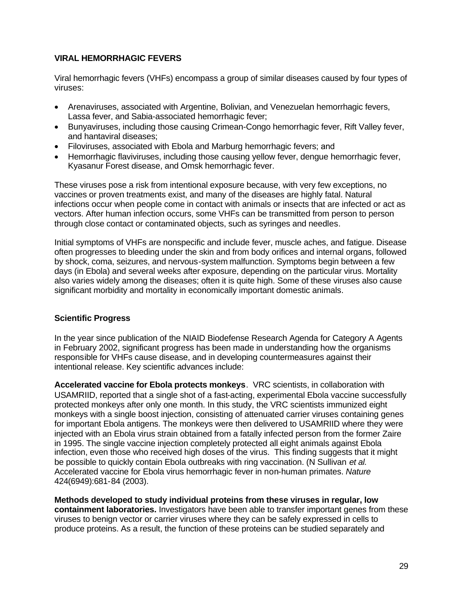## <span id="page-30-0"></span>**VIRAL HEMORRHAGIC FEVERS**

Viral hemorrhagic fevers (VHFs) encompass a group of similar diseases caused by four types of viruses:

- Arenaviruses, associated with Argentine, Bolivian, and Venezuelan hemorrhagic fevers, Lassa fever, and Sabia-associated hemorrhagic fever;
- Bunyaviruses, including those causing Crimean-Congo hemorrhagic fever, Rift Valley fever, and hantaviral diseases;
- Filoviruses, associated with Ebola and Marburg hemorrhagic fevers; and
- Hemorrhagic flaviviruses, including those causing yellow fever, dengue hemorrhagic fever, Kyasanur Forest disease, and Omsk hemorrhagic fever.

These viruses pose a risk from intentional exposure because, with very few exceptions, no vaccines or proven treatments exist, and many of the diseases are highly fatal. Natural infections occur when people come in contact with animals or insects that are infected or act as vectors. After human infection occurs, some VHFs can be transmitted from person to person through close contact or contaminated objects, such as syringes and needles.

Initial symptoms of VHFs are nonspecific and include fever, muscle aches, and fatigue. Disease often progresses to bleeding under the skin and from body orifices and internal organs, followed by shock, coma, seizures, and nervous-system malfunction. Symptoms begin between a few days (in Ebola) and several weeks after exposure, depending on the particular virus. Mortality also varies widely among the diseases; often it is quite high. Some of these viruses also cause significant morbidity and mortality in economically important domestic animals.

## **Scientific Progress**

In the year since publication of the NIAID Biodefense Research Agenda for Category A Agents in February 2002, significant progress has been made in understanding how the organisms responsible for VHFs cause disease, and in developing countermeasures against their intentional release. Key scientific advances include:

**Accelerated vaccine for Ebola protects monkeys**. VRC scientists, in collaboration with USAMRIID, reported that a single shot of a fast-acting, experimental Ebola vaccine successfully protected monkeys after only one month. In this study, the VRC scientists immunized eight monkeys with a single boost injection, consisting of attenuated carrier viruses containing genes for important Ebola antigens. The monkeys were then delivered to USAMRIID where they were injected with an Ebola virus strain obtained from a fatally infected person from the former Zaire in 1995. The single vaccine injection completely protected all eight animals against Ebola infection, even those who received high doses of the virus. This finding suggests that it might be possible to quickly contain Ebola outbreaks with ring vaccination. (N Sullivan *et al.*  Accelerated vaccine for Ebola virus hemorrhagic fever in non-human primates. *Nature*  424(6949):681-84 (2003).

**Methods developed to study individual proteins from these viruses in regular, low containment laboratories.** Investigators have been able to transfer important genes from these viruses to benign vector or carrier viruses where they can be safely expressed in cells to produce proteins. As a result, the function of these proteins can be studied separately and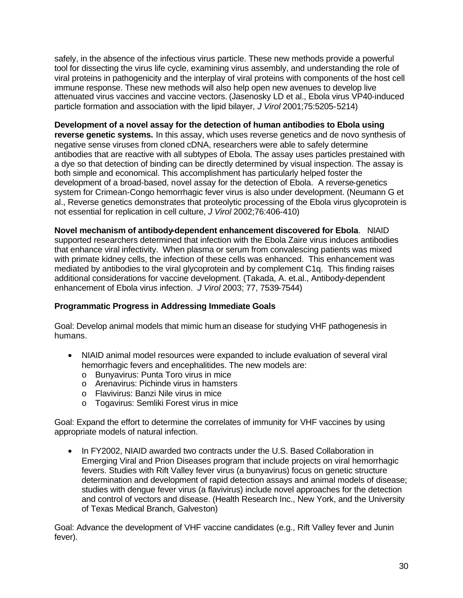safely, in the absence of the infectious virus particle. These new methods provide a powerful tool for dissecting the virus life cycle, examining virus assembly, and understanding the role of viral proteins in pathogenicity and the interplay of viral proteins with components of the host cell immune response. These new methods will also help open new avenues to develop live attenuated virus vaccines and vaccine vectors. (Jasenosky LD et al., Ebola virus VP40-induced particle formation and association with the lipid bilayer, *J Virol* 2001;75:5205-5214)

**Development of a novel assay for the detection of human antibodies to Ebola using reverse genetic systems.** In this assay, which uses reverse genetics and de novo synthesis of negative sense viruses from cloned cDNA, researchers were able to safely determine antibodies that are reactive with all subtypes of Ebola. The assay uses particles prestained with a dye so that detection of binding can be directly determined by visual inspection. The assay is both simple and economical. This accomplishment has particularly helped foster the development of a broad-based, novel assay for the detection of Ebola. A reverse-genetics system for Crimean-Congo hemorrhagic fever virus is also under development. (Neumann G et al., Reverse genetics demonstrates that proteolytic processing of the Ebola virus glycoprotein is not essential for replication in cell culture, *J Virol* 2002;76:406-410)

**Novel mechanism of antibody-dependent enhancement discovered for Ebola**. NIAID supported researchers determined that infection with the Ebola Zaire virus induces antibodies that enhance viral infectivity. When plasma or serum from convalescing patients was mixed with primate kidney cells, the infection of these cells was enhanced. This enhancement was mediated by antibodies to the viral glycoprotein and by complement C1q. This finding raises additional considerations for vaccine development. (Takada, A. et.al., Antibody-dependent enhancement of Ebola virus infection. *J Virol* 2003; 77, 7539-7544)

#### **Programmatic Progress in Addressing Immediate Goals**

Goal: Develop animal models that mimic human disease for studying VHF pathogenesis in humans.

- NIAID animal model resources were expanded to include evaluation of several viral hemorrhagic fevers and encephalitides. The new models are:
	- $\circ$  Bunyavirus: Punta Toro virus in mice
	- o Arenavirus: Pichinde virus in hamsters
	- o Flavivirus: Banzi Nile virus in mice
	- o Togavirus: Semliki Forest virus in mice

Goal: Expand the effort to determine the correlates of immunity for VHF vaccines by using appropriate models of natural infection.

• In FY2002, NIAID awarded two contracts under the U.S. Based Collaboration in Emerging Viral and Prion Diseases program that include projects on viral hemorrhagic fevers. Studies with Rift Valley fever virus (a bunyavirus) focus on genetic structure determination and development of rapid detection assays and animal models of disease; studies with dengue fever virus (a flavivirus) include novel approaches for the detection and control of vectors and disease. (Health Research Inc., New York, and the University of Texas Medical Branch, Galveston)

Goal: Advance the development of VHF vaccine candidates (e.g., Rift Valley fever and Junin fever).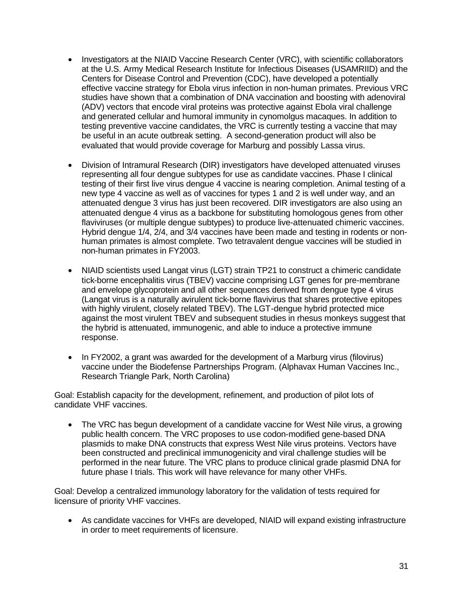- Investigators at the NIAID Vaccine Research Center (VRC), with scientific collaborators at the U.S. Army Medical Research Institute for Infectious Diseases (USAMRIID) and the Centers for Disease Control and Prevention (CDC), have developed a potentially effective vaccine strategy for Ebola virus infection in non-human primates. Previous VRC studies have shown that a combination of DNA vaccination and boosting with adenoviral (ADV) vectors that encode viral proteins was protective against Ebola viral challenge and generated cellular and humoral immunity in cynomolgus macaques. In addition to testing preventive vaccine candidates, the VRC is currently testing a vaccine that may be useful in an acute outbreak setting. A second-generation product will also be evaluated that would provide coverage for Marburg and possibly Lassa virus.
- Division of Intramural Research (DIR) investigators have developed attenuated viruses representing all four dengue subtypes for use as candidate vaccines. Phase I clinical testing of their first live virus dengue 4 vaccine is nearing completion. Animal testing of a new type 4 vaccine as well as of vaccines for types 1 and 2 is well under way, and an attenuated dengue 3 virus has just been recovered. DIR investigators are also using an attenuated dengue 4 virus as a backbone for substituting homologous genes from other flaviviruses (or multiple dengue subtypes) to produce live-attenuated chimeric vaccines. Hybrid dengue 1/4, 2/4, and 3/4 vaccines have been made and testing in rodents or nonhuman primates is almost complete. Two tetravalent dengue vaccines will be studied in non-human primates in FY2003.
- NIAID scientists used Langat virus (LGT) strain TP21 to construct a chimeric candidate tick-borne encephalitis virus (TBEV) vaccine comprising LGT genes for pre-membrane and envelope glycoprotein and all other sequences derived from dengue type 4 virus (Langat virus is a naturally avirulent tick-borne flavivirus that shares protective epitopes with highly virulent, closely related TBEV). The LGT-dengue hybrid protected mice against the most virulent TBEV and subsequent studies in rhesus monkeys suggest that the hybrid is attenuated, immunogenic, and able to induce a protective immune response.
- In FY2002, a grant was awarded for the development of a Marburg virus (filovirus) vaccine under the Biodefense Partnerships Program. (Alphavax Human Vaccines Inc., Research Triangle Park, North Carolina)

Goal: Establish capacity for the development, refinement, and production of pilot lots of candidate VHF vaccines.

• The VRC has begun development of a candidate vaccine for West Nile virus, a growing public health concern. The VRC proposes to use codon-modified gene-based DNA plasmids to make DNA constructs that express West Nile virus proteins. Vectors have been constructed and preclinical immunogenicity and viral challenge studies will be performed in the near future. The VRC plans to produce clinical grade plasmid DNA for future phase I trials. This work will have relevance for many other VHFs.

Goal: Develop a centralized immunology laboratory for the validation of tests required for licensure of priority VHF vaccines.

• As candidate vaccines for VHFs are developed, NIAID will expand existing infrastructure in order to meet requirements of licensure.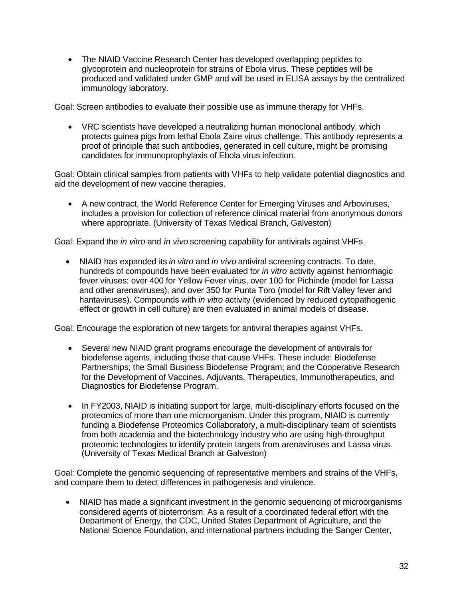• The NIAID Vaccine Research Center has developed overlapping peptides to glycoprotein and nucleoprotein for strains of Ebola virus. These peptides will be produced and validated under GMP and will be used in ELISA assays by the centralized immunology laboratory.

Goal: Screen antibodies to evaluate their possible use as immune therapy for VHFs.

• VRC scientists have developed a neutralizing human monoclonal antibody, which protects guinea pigs from lethal Ebola Zaire virus challenge. This antibody represents a proof of principle that such antibodies, generated in cell culture, might be promising candidates for immunoprophylaxis of Ebola virus infection.

Goal: Obtain clinical samples from patients with VHFs to help validate potential diagnostics and aid the development of new vaccine therapies.

• A new contract, the World Reference Center for Emerging Viruses and Arboviruses, includes a provision for collection of reference clinical material from anonymous donors where appropriate. (University of Texas Medical Branch, Galveston)

Goal: Expand the *in vitro* and *in vivo* screening capability for antivirals against VHFs.

• NIAID has expanded its *in vitro* and *in vivo* antiviral screening contracts. To date, hundreds of compounds have been evaluated for *in vitro* activity against hemorrhagic fever viruses: over 400 for Yellow Fever virus, over 100 for Pichinde (model for Lassa and other arenaviruses), and over 350 for Punta Toro (model for Rift Valley fever and hantaviruses). Compounds with *in vitro* activity (evidenced by reduced cytopathogenic effect or growth in cell culture) are then evaluated in animal models of disease.

Goal: Encourage the exploration of new targets for antiviral therapies against VHFs.

- Several new NIAID grant programs encourage the development of antivirals for biodefense agents, including those that cause VHFs. These include: Biodefense Partnerships; the Small Business Biodefense Program; and the Cooperative Research for the Development of Vaccines, Adjuvants, Therapeutics, Immunotherapeutics, and Diagnostics for Biodefense Program.
- In FY2003, NIAID is initiating support for large, multi-disciplinary efforts focused on the proteomics of more than one microorganism. Under this program, NIAID is currently funding a Biodefense Proteomics Collaboratory, a multi-disciplinary team of scientists from both academia and the biotechnology industry who are using high-throughput proteomic technologies to identify protein targets from arenaviruses and Lassa virus. (University of Texas Medical Branch at Galveston)

Goal: Complete the genomic sequencing of representative members and strains of the VHFs, and compare them to detect differences in pathogenesis and virulence.

• NIAID has made a significant investment in the genomic sequencing of microorganisms considered agents of bioterrorism. As a result of a coordinated federal effort with the Department of Energy, the CDC, United States Department of Agriculture, and the National Science Foundation, and international partners including the Sanger Center,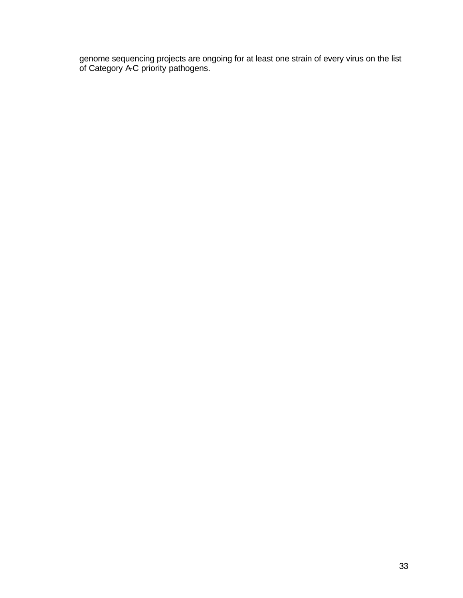genome sequencing projects are ongoing for at least one strain of every virus on the list of Category A-C priority pathogens.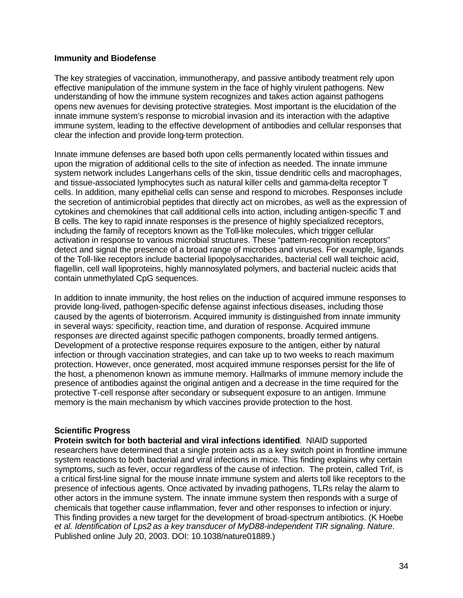#### <span id="page-35-0"></span>**Immunity and Biodefense**

The key strategies of vaccination, immunotherapy, and passive antibody treatment rely upon effective manipulation of the immune system in the face of highly virulent pathogens. New understanding of how the immune system recognizes and takes action against pathogens opens new avenues for devising protective strategies. Most important is the elucidation of the innate immune system's response to microbial invasion and its interaction with the adaptive immune system, leading to the effective development of antibodies and cellular responses that clear the infection and provide long-term protection.

Innate immune defenses are based both upon cells permanently located within tissues and upon the migration of additional cells to the site of infection as needed. The innate immune system network includes Langerhans cells of the skin, tissue dendritic cells and macrophages, and tissue-associated lymphocytes such as natural killer cells and gamma-delta receptor T cells. In addition, many epithelial cells can sense and respond to microbes. Responses include the secretion of antimicrobial peptides that directly act on microbes, as well as the expression of cytokines and chemokines that call additional cells into action, including antigen-specific T and B cells. The key to rapid innate responses is the presence of highly specialized receptors, including the family of receptors known as the Toll-like molecules, which trigger cellular activation in response to various microbial structures. These "pattern-recognition receptors" detect and signal the presence of a broad range of microbes and viruses. For example, ligands of the Toll-like receptors include bacterial lipopolysaccharides, bacterial cell wall teichoic acid, flagellin, cell wall lipoproteins, highly mannosylated polymers, and bacterial nucleic acids that contain unmethylated CpG sequences.

In addition to innate immunity, the host relies on the induction of acquired immune responses to provide long-lived, pathogen-specific defense against infectious diseases, including those caused by the agents of bioterrorism. Acquired immunity is distinguished from innate immunity in several ways: specificity, reaction time, and duration of response. Acquired immune responses are directed against specific pathogen components, broadly termed antigens. Development of a protective response requires exposure to the antigen, either by natural infection or through vaccination strategies, and can take up to two weeks to reach maximum protection. However, once generated, most acquired immune responses persist for the life of the host, a phenomenon known as immune memory. Hallmarks of immune memory include the presence of antibodies against the original antigen and a decrease in the time required for the protective T-cell response after secondary or subsequent exposure to an antigen. Immune memory is the main mechanism by which vaccines provide protection to the host.

#### **Scientific Progress**

chemicals that together cause inflammation, fever and other responses to infection or injury. **Protein switch for both bacterial and viral infections identified**. NIAID supported researchers have determined that a single protein acts as a key switch point in frontline immune system reactions to both bacterial and viral infections in mice. This finding explains why certain symptoms, such as fever, occur regardless of the cause of infection. The protein, called Trif, is a critical first-line signal for the mouse innate immune system and alerts toll like receptors to the presence of infectious agents. Once activated by invading pathogens, TLRs relay the alarm to other actors in the immune system. The innate immune system then responds with a surge of This finding provides a new target for the development of broad-spectrum antibiotics. (K Hoebe *et al. Identification of Lps2 as a key transducer of MyD88-independent TIR signaling*. *Nature*. Published online July 20, 2003. DOI: 10.1038/nature01889.)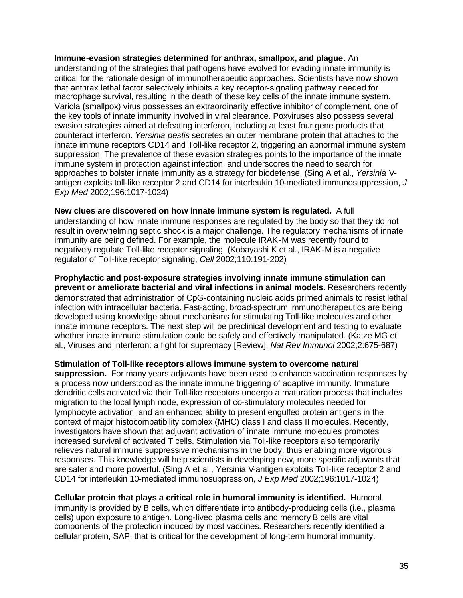**Immune-evasion strategies determined for anthrax, smallpox, and plague**. An understanding of the strategies that pathogens have evolved for evading innate immunity is critical for the rationale design of immunotherapeutic approaches. Scientists have now shown that anthrax lethal factor selectively inhibits a key receptor-signaling pathway needed for macrophage survival, resulting in the death of these key cells of the innate immune system. Variola (smallpox) virus possesses an extraordinarily effective inhibitor of complement, one of the key tools of innate immunity involved in viral clearance. Poxviruses also possess several evasion strategies aimed at defeating interferon, including at least four gene products that counteract interferon. *Yersinia pestis* secretes an outer membrane protein that attaches to the innate immune receptors CD14 and Toll-like receptor 2, triggering an abnormal immune system suppression. The prevalence of these evasion strategies points to the importance of the innate immune system in protection against infection, and underscores the need to search for approaches to bolster innate immunity as a strategy for biodefense. (Sing A et al., *Yersinia* Vantigen exploits toll-like receptor 2 and CD14 for interleukin 10-mediated immunosuppression, *J Exp Med* 2002;196:1017-1024)

**New clues are discovered on how innate immune system is regulated.** A full understanding of how innate immune responses are regulated by the body so that they do not result in overwhelming septic shock is a major challenge. The regulatory mechanisms of innate immunity are being defined. For example, the molecule IRAK-M was recently found to negatively regulate Toll-like receptor signaling. (Kobayashi K et al., IRAK-M is a negative regulator of Toll-like receptor signaling, *Cell* 2002;110:191-202)

**Prophylactic and post-exposure strategies involving innate immune stimulation can prevent or ameliorate bacterial and viral infections in animal models.** Researchers recently demonstrated that administration of CpG-containing nucleic acids primed animals to resist lethal infection with intracellular bacteria. Fast-acting, broad-spectrum immunotherapeutics are being developed using knowledge about mechanisms for stimulating Toll-like molecules and other innate immune receptors. The next step will be preclinical development and testing to evaluate whether innate immune stimulation could be safely and effectively manipulated. (Katze MG et al., Viruses and interferon: a fight for supremacy [Review], *Nat Rev Immunol* 2002;2:675-687)

**Stimulation of Toll-like receptors allows immune system to overcome natural suppression.** For many years adjuvants have been used to enhance vaccination responses by a process now understood as the innate immune triggering of adaptive immunity. Immature dendritic cells activated via their Toll-like receptors undergo a maturation process that includes migration to the local lymph node, expression of co-stimulatory molecules needed for lymphocyte activation, and an enhanced ability to present engulfed protein antigens in the context of major histocompatibility complex (MHC) class I and class II molecules. Recently, investigators have shown that adjuvant activation of innate immune molecules promotes increased survival of activated T cells. Stimulation via Toll-like receptors also temporarily relieves natural immune suppressive mechanisms in the body, thus enabling more vigorous responses. This knowledge will help scientists in developing new, more specific adjuvants that are safer and more powerful. (Sing A et al., Yersinia V-antigen exploits Toll-like receptor 2 and CD14 for interleukin 10-mediated immunosuppression, *J Exp Med* 2002;196:1017-1024)

**Cellular protein that plays a critical role in humoral immunity is identified.** Humoral immunity is provided by B cells, which differentiate into antibody-producing cells (i.e., plasma cells) upon exposure to antigen. Long-lived plasma cells and memory B cells are vital components of the protection induced by most vaccines. Researchers recently identified a cellular protein, SAP, that is critical for the development of long-term humoral immunity.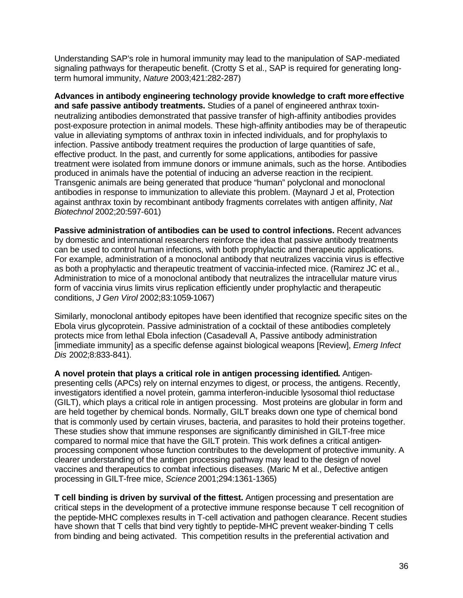Understanding SAP's role in humoral immunity may lead to the manipulation of SAP-mediated signaling pathways for therapeutic benefit. (Crotty S et al., SAP is required for generating longterm humoral immunity, *Nature* 2003;421:282-287)

**Advances in antibody engineering technology provide knowledge to craft more effective and safe passive antibody treatments.** Studies of a panel of engineered anthrax toxinneutralizing antibodies demonstrated that passive transfer of high-affinity antibodies provides post-exposure protection in animal models. These high-affinity antibodies may be of therapeutic value in alleviating symptoms of anthrax toxin in infected individuals, and for prophylaxis to infection. Passive antibody treatment requires the production of large quantities of safe, effective product. In the past, and currently for some applications, antibodies for passive treatment were isolated from immune donors or immune animals, such as the horse. Antibodies produced in animals have the potential of inducing an adverse reaction in the recipient. Transgenic animals are being generated that produce "human" polyclonal and monoclonal antibodies in response to immunization to alleviate this problem. (Maynard J et al, Protection against anthrax toxin by recombinant antibody fragments correlates with antigen affinity, *Nat Biotechnol* 2002;20:597-601)

**Passive administration of antibodies can be used to control infections.** Recent advances by domestic and international researchers reinforce the idea that passive antibody treatments can be used to control human infections, with both prophylactic and therapeutic applications. For example, administration of a monoclonal antibody that neutralizes vaccinia virus is effective as both a prophylactic and therapeutic treatment of vaccinia-infected mice. (Ramirez JC et al., Administration to mice of a monoclonal antibody that neutralizes the intracellular mature virus form of vaccinia virus limits virus replication efficiently under prophylactic and therapeutic conditions, *J Gen Virol* 2002;83:1059-1067)

Similarly, monoclonal antibody epitopes have been identified that recognize specific sites on the Ebola virus glycoprotein. Passive administration of a cocktail of these antibodies completely protects mice from lethal Ebola infection (Casadevall A, Passive antibody administration [immediate immunity] as a specific defense against biological weapons [Review], *Emerg Infect Dis* 2002;8:833-841).

**A novel protein that plays a critical role in antigen processing identified.** Antigenpresenting cells (APCs) rely on internal enzymes to digest, or process, the antigens. Recently, investigators identified a novel protein, gamma interferon-inducible lysosomal thiol reductase (GILT), which plays a critical role in antigen processing. Most proteins are globular in form and are held together by chemical bonds. Normally, GILT breaks down one type of chemical bond that is commonly used by certain viruses, bacteria, and parasites to hold their proteins together. These studies show that immune responses are significantly diminished in GILT-free mice compared to normal mice that have the GILT protein. This work defines a critical antigenprocessing component whose function contributes to the development of protective immunity. A clearer understanding of the antigen processing pathway may lead to the design of novel vaccines and therapeutics to combat infectious diseases. (Maric M et al., Defective antigen processing in GILT-free mice, *Science* 2001;294:1361-1365)

**T cell binding is driven by survival of the fittest.** Antigen processing and presentation are critical steps in the development of a protective immune response because T cell recognition of the peptide-MHC complexes results in T-cell activation and pathogen clearance. Recent studies have shown that T cells that bind very tightly to peptide-MHC prevent weaker-binding T cells from binding and being activated. This competition results in the preferential activation and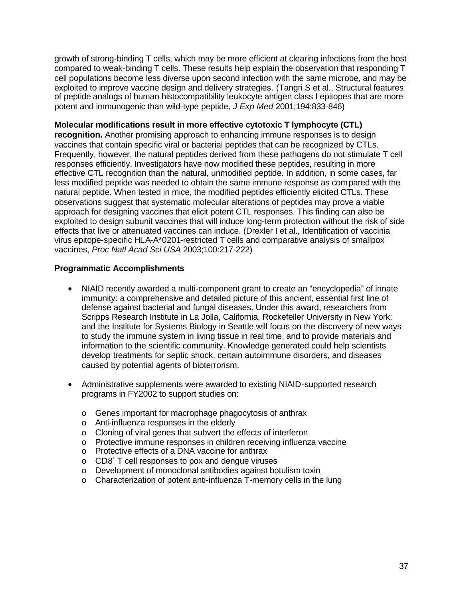growth of strong-binding T cells, which may be more efficient at clearing infections from the host compared to weak-binding T cells. These results help explain the observation that responding T cell populations become less diverse upon second infection with the same microbe, and may be exploited to improve vaccine design and delivery strategies. (Tangri S et al., Structural features of peptide analogs of human histocompatibility leukocyte antigen class I epitopes that are more potent and immunogenic than wild-type peptide, *J Exp Med* 2001;194:833-846)

#### **Molecular modifications result in more effective cytotoxic T lymphocyte (CTL)**

**recognition.** Another promising approach to enhancing immune responses is to design vaccines that contain specific viral or bacterial peptides that can be recognized by CTLs. Frequently, however, the natural peptides derived from these pathogens do not stimulate T cell responses efficiently. Investigators have now modified these peptides, resulting in more effective CTL recognition than the natural, unmodified peptide. In addition, in some cases, far less modified peptide was needed to obtain the same immune response as com pared with the natural peptide. When tested in mice, the modified peptides efficiently elicited CTLs. These observations suggest that systematic molecular alterations of peptides may prove a viable approach for designing vaccines that elicit potent CTL responses. This finding can also be exploited to design subunit vaccines that will induce long-term protection without the risk of side effects that live or attenuated vaccines can induce. (Drexler I et al., Identification of vaccinia virus epitope-specific HLA-A\*0201-restricted T cells and comparative analysis of smallpox vaccines, *Proc Natl Acad Sci USA* 2003;100:217-222)

#### **Programmatic Accomplishments**

- NIAID recently awarded a multi-component grant to create an "encyclopedia" of innate immunity: a comprehensive and detailed picture of this ancient, essential first line of defense against bacterial and fungal diseases. Under this award, researchers from Scripps Research Institute in La Jolla, California, Rockefeller University in New York; and the Institute for Systems Biology in Seattle will focus on the discovery of new ways to study the immune system in living tissue in real time, and to provide materials and information to the scientific community. Knowledge generated could help scientists develop treatments for septic shock, certain autoimmune disorders, and diseases caused by potential agents of bioterrorism.
- Administrative supplements were awarded to existing NIAID-supported research programs in FY2002 to support studies on:
	- o Genes important for macrophage phagocytosis of anthrax
	- o Anti-influenza responses in the elderly
	- o Cloning of viral genes that subvert the effects of interferon
	- o Protective immune responses in children receiving influenza vaccine
	- o Protective effects of a DNA vaccine for anthrax
	- o CD8<sup>+</sup> T cell responses to pox and dengue viruses
	- o Development of monoclonal antibodies against botulism toxin
	- o Characterization of potent anti-influenza T-memory cells in the lung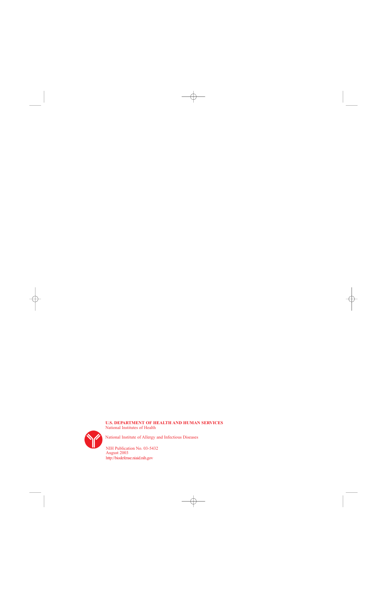#### **U.S. DEPARTMENT OF HEALTH AND HUMAN SERVICES**  National Institutes of Health



National Institute of Allergy and Infectious Diseases

NIH Publication No. 03-5432 August 2003 <http://biodefense.niaid.nih.gov>